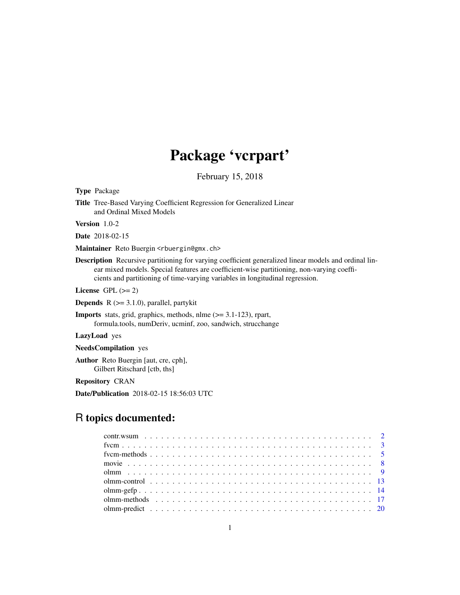# Package 'vcrpart'

February 15, 2018

<span id="page-0-0"></span>Type Package

Title Tree-Based Varying Coefficient Regression for Generalized Linear and Ordinal Mixed Models

Version 1.0-2

Date 2018-02-15

Maintainer Reto Buergin <rbuergin@gmx.ch>

Description Recursive partitioning for varying coefficient generalized linear models and ordinal linear mixed models. Special features are coefficient-wise partitioning, non-varying coefficients and partitioning of time-varying variables in longitudinal regression.

License GPL  $(>= 2)$ 

**Depends**  $R$  ( $>= 3.1.0$ ), parallel, partykit

Imports stats, grid, graphics, methods, nlme (>= 3.1-123), rpart, formula.tools, numDeriv, ucminf, zoo, sandwich, strucchange

LazyLoad yes

NeedsCompilation yes

Author Reto Buergin [aut, cre, cph], Gilbert Ritschard [ctb, ths]

Repository CRAN

Date/Publication 2018-02-15 18:56:03 UTC

## R topics documented: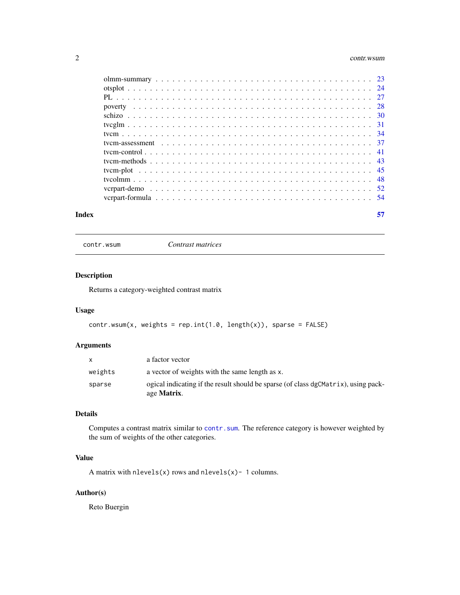#### <span id="page-1-0"></span>2 contr.wsum

| Index | 57 |
|-------|----|

contr.wsum *Contrast matrices*

## Description

Returns a category-weighted contrast matrix

## Usage

```
contr.wsum(x, weights = rep.int(1.0, length(x)), sparse = FALSE)
```
## Arguments

|         | age <b>Matrix</b> .                                                                |
|---------|------------------------------------------------------------------------------------|
| sparse  | ogical indicating if the result should be sparse (of class dgCMatrix), using pack- |
| weights | a vector of weights with the same length as x.                                     |
|         | a factor vector                                                                    |

## Details

Computes a contrast matrix similar to [contr.sum](#page-0-0). The reference category is however weighted by the sum of weights of the other categories.

## Value

A matrix with  $nlevels(x)$  rows and  $nlevels(x)$ - 1 columns.

## Author(s)

Reto Buergin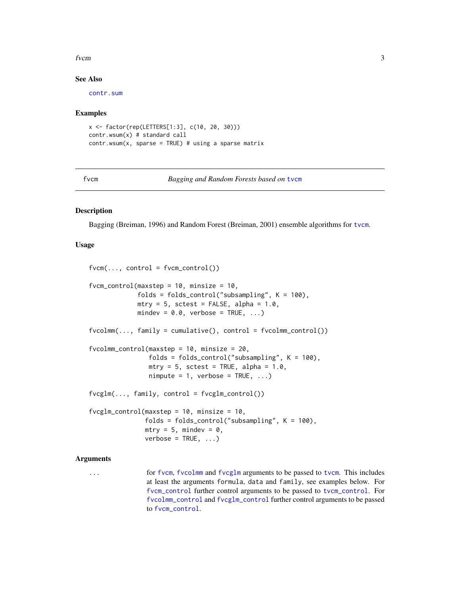#### <span id="page-2-0"></span>from the state of  $\sim$  3

#### See Also

[contr.sum](#page-0-0)

#### Examples

```
x <- factor(rep(LETTERS[1:3], c(10, 20, 30)))
contr.wsum(x) # standard call
contr.wsum(x, sparse = TRUE) # using a sparse matrix
```
<span id="page-2-1"></span>fvcm *Bagging and Random Forests based on* [tvcm](#page-33-1)

## <span id="page-2-2"></span>**Description**

Bagging (Breiman, 1996) and Random Forest (Breiman, 2001) ensemble algorithms for [tvcm](#page-33-1).

#### Usage

```
fvcm(..., control = fvcm\_control())fvcm_control(maxstep = 10, minsize = 10,
             folds = folds_control("subsampling", K = 100),
            mtry = 5, sctest = FALSE, alpha = 1.0,
            mindev = 0.0, verbose = TRUE, ...)
fvoclmm(..., family = cumulative(), control = fvoclmm_countol())fvcolmm_control(maxstep = 10, minsize = 20,
                folds = folds_control("subsampling", K = 100),
                mtry = 5, sctest = TRUE, alpha = 1.0,
                nimpute = 1, verbose = TRUE, ...)
fvcglm(..., family, control = fvcglm\_control())fvcglm_control(maxstep = 10, minsize = 10,
               folds = folds_control("subsampling", K = 100),
               mtry = 5, mindev = 0,
               verbose = TRUE, ...)
```
## Arguments

... for [fvcm](#page-2-1), [fvcolmm](#page-2-2) and [fvcglm](#page-2-2) arguments to be passed to [tvcm](#page-33-1). This includes at least the arguments formula, data and family, see examples below. For [fvcm\\_control](#page-2-2) further control arguments to be passed to [tvcm\\_control](#page-40-1). For [fvcolmm\\_control](#page-2-2) and [fvcglm\\_control](#page-2-2) further control arguments to be passed to [fvcm\\_control](#page-2-2).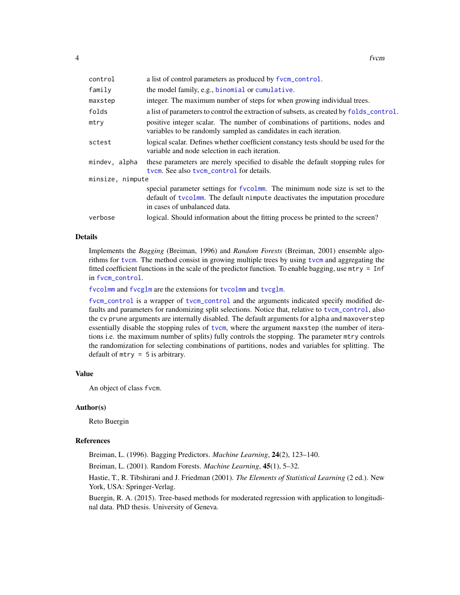<span id="page-3-0"></span>

| control          | a list of control parameters as produced by fvcm_control.                                                                                                                                   |  |  |  |  |  |
|------------------|---------------------------------------------------------------------------------------------------------------------------------------------------------------------------------------------|--|--|--|--|--|
| family           | the model family, e.g., binomial or cumulative.                                                                                                                                             |  |  |  |  |  |
| maxstep          | integer. The maximum number of steps for when growing individual trees.                                                                                                                     |  |  |  |  |  |
| folds            | a list of parameters to control the extraction of subsets, as created by folds_control.                                                                                                     |  |  |  |  |  |
| mtry             | positive integer scalar. The number of combinations of partitions, nodes and<br>variables to be randomly sampled as candidates in each iteration.                                           |  |  |  |  |  |
| sctest           | logical scalar. Defines whether coefficient constancy tests should be used for the<br>variable and node selection in each iteration.                                                        |  |  |  |  |  |
| mindev, alpha    | these parameters are merely specified to disable the default stopping rules for<br>tycm. See also tycm_control for details.                                                                 |  |  |  |  |  |
| minsize, nimpute |                                                                                                                                                                                             |  |  |  |  |  |
|                  | special parameter settings for fvcolmm. The minimum node size is set to the<br>default of tycolmm. The default nimpute deactivates the imputation procedure<br>in cases of unbalanced data. |  |  |  |  |  |
| verbose          | logical. Should information about the fitting process be printed to the screen?                                                                                                             |  |  |  |  |  |

## Details

Implements the *Bagging* (Breiman, 1996) and *Random Forests* (Breiman, 2001) ensemble algorithms for [tvcm](#page-33-1). The method consist in growing multiple trees by using [tvcm](#page-33-1) and aggregating the fitted coefficient functions in the scale of the predictor function. To enable bagging, use mtry = Inf in [fvcm\\_control](#page-2-2).

[fvcolmm](#page-2-2) and [fvcglm](#page-2-2) are the extensions for [tvcolmm](#page-47-1) and [tvcglm](#page-30-1).

[fvcm\\_control](#page-2-2) is a wrapper of [tvcm\\_control](#page-40-1) and the arguments indicated specify modified defaults and parameters for randomizing split selections. Notice that, relative to [tvcm\\_control](#page-40-1), also the cv prune arguments are internally disabled. The default arguments for alpha and maxoverstep essentially disable the stopping rules of [tvcm](#page-33-1), where the argument maxstep (the number of iterations i.e. the maximum number of splits) fully controls the stopping. The parameter mtry controls the randomization for selecting combinations of partitions, nodes and variables for splitting. The default of  $mtry = 5$  is arbitrary.

#### Value

An object of class fvcm.

#### Author(s)

Reto Buergin

#### References

Breiman, L. (1996). Bagging Predictors. *Machine Learning*, 24(2), 123–140.

Breiman, L. (2001). Random Forests. *Machine Learning*, 45(1), 5–32.

Hastie, T., R. Tibshirani and J. Friedman (2001). *The Elements of Statistical Learning* (2 ed.). New York, USA: Springer-Verlag.

Buergin, R. A. (2015). Tree-based methods for moderated regression with application to longitudinal data. PhD thesis. University of Geneva.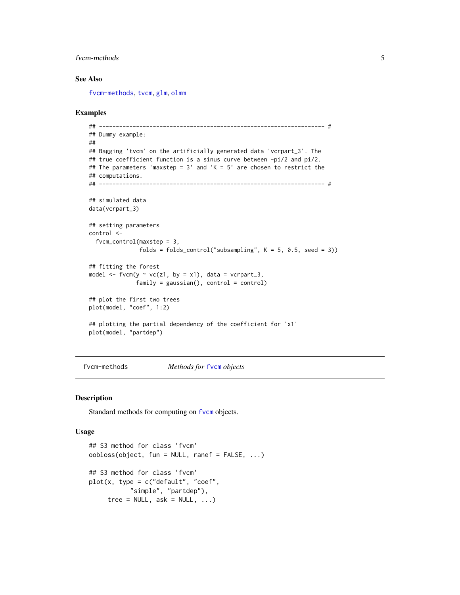#### <span id="page-4-0"></span>from-methods 5

## See Also

[fvcm-methods](#page-4-1), [tvcm](#page-33-1), [glm](#page-0-0), [olmm](#page-8-2)

#### Examples

```
## ------------------------------------------------------------------- #
## Dummy example:
##
## Bagging 'tvcm' on the artificially generated data 'vcrpart_3'. The
## true coefficient function is a sinus curve between -pi/2 and pi/2.
## The parameters 'maxstep = 3' and 'K = 5' are chosen to restrict the
## computations.
## ------------------------------------------------------------------- #
## simulated data
data(vcrpart_3)
## setting parameters
control <-
  fvcm_control(maxstep = 3,
               folds = folds_control("subsampling", K = 5, 0.5, seed = 3))
## fitting the forest
model \leq fvcm(y \sim vc(z1, by = x1), data = vcrpart_3,
              family = gaussian(), control = control)
## plot the first two trees
plot(model, "coef", 1:2)
## plotting the partial dependency of the coefficient for 'x1'
plot(model, "partdep")
```
#### <span id="page-4-1"></span>fvcm-methods *Methods for* [fvcm](#page-2-1) *objects*

#### <span id="page-4-2"></span>Description

Standard methods for computing on [fvcm](#page-2-1) objects.

#### Usage

```
## S3 method for class 'fvcm'
oobloss(object, fun = NULL, ranef = FALSE, ...)
## S3 method for class 'fvcm'
plot(x, type = c("default", "coeff","simple", "partdep"),
     tree = NULL, ask = NULL, ...)
```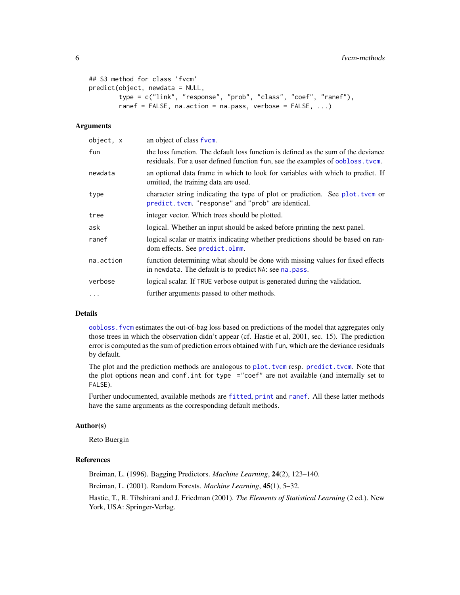```
## S3 method for class 'fvcm'
predict(object, newdata = NULL,
        type = c("link", "response", "prob", "class", "coef", "ranef"),
        ranef = FALSE, na.action = na.pass, verbose = FALSE, \ldots)
```
## Arguments

| object, x | an object of class fvcm.                                                                                                                                             |
|-----------|----------------------------------------------------------------------------------------------------------------------------------------------------------------------|
| fun       | the loss function. The default loss function is defined as the sum of the deviance<br>residuals. For a user defined function fun, see the examples of oobloss. tvcm. |
| newdata   | an optional data frame in which to look for variables with which to predict. If<br>omitted, the training data are used.                                              |
| type      | character string indicating the type of plot or prediction. See plot. tvcm or<br>predict.tvcm. "response" and "prob" are identical.                                  |
| tree      | integer vector. Which trees should be plotted.                                                                                                                       |
| ask       | logical. Whether an input should be asked before printing the next panel.                                                                                            |
| ranef     | logical scalar or matrix indicating whether predictions should be based on ran-<br>dom effects. See predict.olmm.                                                    |
| na.action | function determining what should be done with missing values for fixed effects<br>in newdata. The default is to predict NA: see na. pass.                            |
| verbose   | logical scalar. If TRUE verbose output is generated during the validation.                                                                                           |
| $\cdots$  | further arguments passed to other methods.                                                                                                                           |
|           |                                                                                                                                                                      |

## Details

[oobloss.fvcm](#page-4-2) estimates the out-of-bag loss based on predictions of the model that aggregates only those trees in which the observation didn't appear (cf. Hastie et al, 2001, sec. 15). The prediction error is computed as the sum of prediction errors obtained with fun, which are the deviance residuals by default.

The plot and the prediction methods are analogous to [plot.tvcm](#page-44-1) resp. [predict.tvcm](#page-42-1). Note that the plot options mean and conf.int for type ="coef" are not available (and internally set to FALSE).

Further undocumented, available methods are [fitted](#page-0-0), [print](#page-0-0) and [ranef](#page-16-1). All these latter methods have the same arguments as the corresponding default methods.

#### Author(s)

Reto Buergin

#### References

Breiman, L. (1996). Bagging Predictors. *Machine Learning*, 24(2), 123–140. Breiman, L. (2001). Random Forests. *Machine Learning*, 45(1), 5–32. Hastie, T., R. Tibshirani and J. Friedman (2001). *The Elements of Statistical Learning* (2 ed.). New York, USA: Springer-Verlag.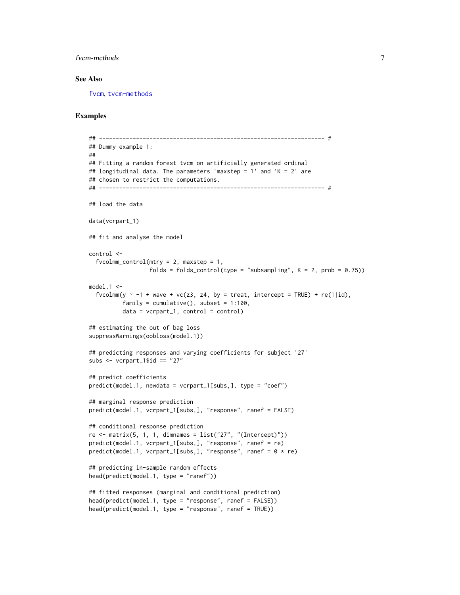#### <span id="page-6-0"></span>from-methods 7

#### See Also

[fvcm](#page-2-1), [tvcm-methods](#page-42-2)

#### Examples

```
## ------------------------------------------------------------------- #
## Dummy example 1:
##
## Fitting a random forest tvcm on artificially generated ordinal
## longitudinal data. The parameters 'maxstep = 1' and 'K = 2' are
## chosen to restrict the computations.
## ------------------------------------------------------------------- #
## load the data
data(vcrpart_1)
## fit and analyse the model
control <-
  fvoclmm\_control(mtry = 2, maxstep = 1,folds = folds_control(type = "subsampling", K = 2, prob = 0.75))
model.1 \leqfvcolmm(y \sim -1 + wave + vc(z3, z4, by = treat, intercept = TRUE) + re(1|id),
          family = cumulative(), subset = 1:100,
          data = vcrpart_1, control = control)
## estimating the out of bag loss
suppressWarnings(oobloss(model.1))
## predicting responses and varying coefficients for subject '27'
subs < - vcrpart_1$id == "27"## predict coefficients
predict(model.1, newdata = vcrpart_1[subs,], type = "coef")
## marginal response prediction
predict(model.1, vcrpart_1[subs,], "response", ranef = FALSE)
## conditional response prediction
re \le matrix(5, 1, 1, dimnames = list("27", "(Intercept)"))
predict(model.1, vcrpart_1[subs,], "response", ranef = re)
predict(model.1, vcrpart_1[subs.], "response", ranef = <math>0 * re</math>)## predicting in-sample random effects
head(predict(model.1, type = "ranef"))
## fitted responses (marginal and conditional prediction)
head(predict(model.1, type = "response", ranef = FALSE))
head(predict(model.1, type = "response", ranef = TRUE))
```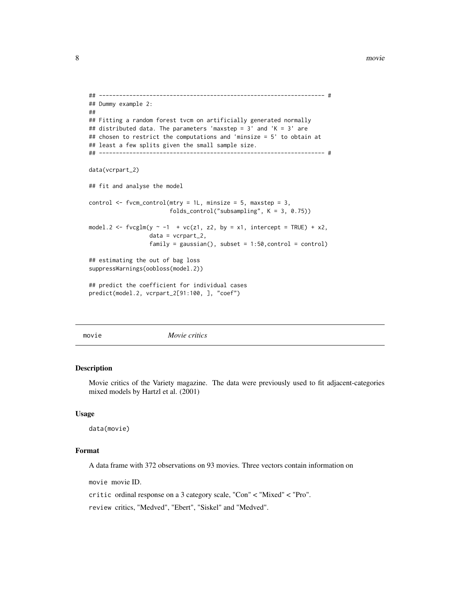#### <span id="page-7-0"></span>8 movie with the state of the state of the state of the state of the state of the state of the state of the state of the state of the state of the state of the state of the state of the state of the state of the state of t

```
## ------------------------------------------------------------------- #
## Dummy example 2:
##
## Fitting a random forest tvcm on artificially generated normally
## distributed data. The parameters 'maxstep = 3' and 'K = 3' are
## chosen to restrict the computations and 'minsize = 5' to obtain at
## least a few splits given the small sample size.
## ------------------------------------------------------------------- #
data(vcrpart_2)
## fit and analyse the model
control \le fvcm_control(mtry = 1L, minsize = 5, maxstep = 3,
                        folds_control("subsampling", K = 3, 0.75))
model.2 <- fvcglm(y \sim -1 + vc(z1, z2, by = x1, intercept = TRUE) + x2,data = vcrpart_2,
                  family = gaussian(), subset = 1:50, control = control)
## estimating the out of bag loss
suppressWarnings(oobloss(model.2))
## predict the coefficient for individual cases
predict(model.2, vcrpart_2[91:100, ], "coef")
```
movie *Movie critics*

#### Description

Movie critics of the Variety magazine. The data were previously used to fit adjacent-categories mixed models by Hartzl et al. (2001)

#### Usage

data(movie)

## Format

A data frame with 372 observations on 93 movies. Three vectors contain information on

movie movie ID.

critic ordinal response on a 3 category scale, "Con" < "Mixed" < "Pro".

review critics, "Medved", "Ebert", "Siskel" and "Medved".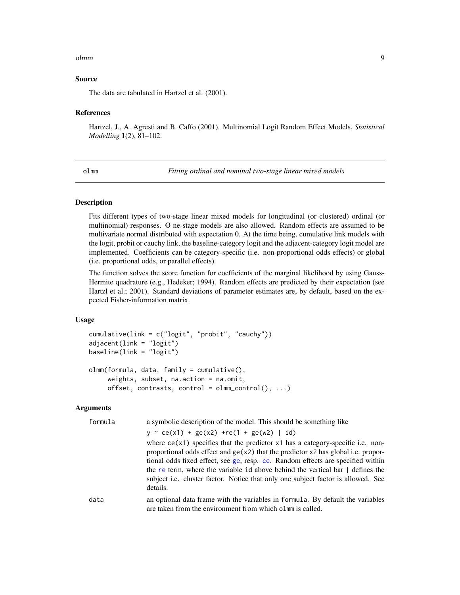#### <span id="page-8-0"></span>olmm and the contract of the contract of the contract of the contract of the contract of the contract of the contract of the contract of the contract of the contract of the contract of the contract of the contract of the c

#### Source

The data are tabulated in Hartzel et al. (2001).

#### References

Hartzel, J., A. Agresti and B. Caffo (2001). Multinomial Logit Random Effect Models, *Statistical Modelling* 1(2), 81–102.

<span id="page-8-2"></span>olmm *Fitting ordinal and nominal two-stage linear mixed models*

#### <span id="page-8-1"></span>**Description**

Fits different types of two-stage linear mixed models for longitudinal (or clustered) ordinal (or multinomial) responses. O ne-stage models are also allowed. Random effects are assumed to be multivariate normal distributed with expectation 0. At the time being, cumulative link models with the logit, probit or cauchy link, the baseline-category logit and the adjacent-category logit model are implemented. Coefficients can be category-specific (i.e. non-proportional odds effects) or global (i.e. proportional odds, or parallel effects).

The function solves the score function for coefficients of the marginal likelihood by using Gauss-Hermite quadrature (e.g., Hedeker; 1994). Random effects are predicted by their expectation (see Hartzl et al.; 2001). Standard deviations of parameter estimates are, by default, based on the expected Fisher-information matrix.

#### Usage

```
cumulative(link = c("logit", "probit", "cauchy"))
adjacent(link = "logit")
baseline(link = "logit")
olmm(formula, data, family = cumulative(),
     weights, subset, na.action = na.omit,
     offset, contrasts, control = olmm\_control(), ...)
```
#### Arguments

| formula | a symbolic description of the model. This should be something like                                                                                                                                                                                                                                                                                                                                                                                          |
|---------|-------------------------------------------------------------------------------------------------------------------------------------------------------------------------------------------------------------------------------------------------------------------------------------------------------------------------------------------------------------------------------------------------------------------------------------------------------------|
|         | $y \sim ce(x1) + ge(x2) + re(1 + ge(w2)   id)$                                                                                                                                                                                                                                                                                                                                                                                                              |
|         | where $ce(x1)$ specifies that the predictor $x1$ has a category-specific i.e. non-<br>proportional odds effect and $ge(x2)$ that the predictor x2 has global i.e. propor-<br>tional odds fixed effect, see ge, resp. ce. Random effects are specified within<br>the re term, where the variable id above behind the vertical bar $\vert$ defines the<br>subject <i>i.e.</i> cluster factor. Notice that only one subject factor is allowed. See<br>details. |
| data    | an optional data frame with the variables in formula. By default the variables<br>are taken from the environment from which olmm is called.                                                                                                                                                                                                                                                                                                                 |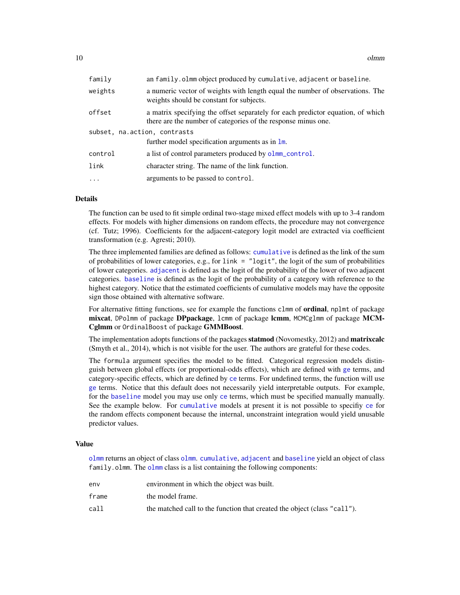<span id="page-9-0"></span>10 olmm

| family                       | an family.olmm object produced by cumulative, adjacent or baseline.                                                                              |
|------------------------------|--------------------------------------------------------------------------------------------------------------------------------------------------|
| weights                      | a numeric vector of weights with length equal the number of observations. The<br>weights should be constant for subjects.                        |
| offset                       | a matrix specifying the offset separately for each predictor equation, of which<br>there are the number of categories of the response minus one. |
| subset, na.action, contrasts |                                                                                                                                                  |
|                              | further model specification arguments as in $\text{Im}$ .                                                                                        |
| control                      | a list of control parameters produced by olmm_control.                                                                                           |
| link                         | character string. The name of the link function.                                                                                                 |
| $\ddots$                     | arguments to be passed to control.                                                                                                               |

## Details

The function can be used to fit simple ordinal two-stage mixed effect models with up to 3-4 random effects. For models with higher dimensions on random effects, the procedure may not convergence (cf. Tutz; 1996). Coefficients for the adjacent-category logit model are extracted via coefficient transformation (e.g. Agresti; 2010).

The three implemented families are defined as follows: [cumulative](#page-8-1) is defined as the link of the sum of probabilities of lower categories, e.g., for link = "logit", the logit of the sum of probabilities of lower categories. [adjacent](#page-8-1) is defined as the logit of the probability of the lower of two adjacent categories. [baseline](#page-8-1) is defined as the logit of the probability of a category with reference to the highest category. Notice that the estimated coefficients of cumulative models may have the opposite sign those obtained with alternative software.

For alternative fitting functions, see for example the functions clmm of **ordinal**, nplmt of package mixcat, DPolmm of package DPpackage, lcmm of package lcmm, MCMCglmm of package MCM-Cglmm or OrdinalBoost of package GMMBoost.

The implementation adopts functions of the packages statmod (Novomestky, 2012) and matrixcalc (Smyth et al., 2014), which is not visible for the user. The authors are grateful for these codes.

The formula argument specifies the model to be fitted. Categorical regression models distinguish between global effects (or proportional-odds effects), which are defined with [ge](#page-53-1) terms, and category-specific effects, which are defined by [ce](#page-53-1) terms. For undefined terms, the function will use [ge](#page-53-1) terms. Notice that this default does not necessarily yield interpretable outputs. For example, for the [baseline](#page-8-1) model you may use only [ce](#page-53-1) terms, which must be specified manually manually. See the example below. For [cumulative](#page-8-1) models at present it is not possible to specifiy [ce](#page-53-1) for the random effects component because the internal, unconstraint integration would yield unusable predictor values.

#### Value

[olmm](#page-8-2) returns an object of class [olmm](#page-8-2). [cumulative](#page-8-1), [adjacent](#page-8-1) and [baseline](#page-8-1) yield an object of class family.[olmm](#page-8-2). The olmm class is a list containing the following components:

| env   | environment in which the object was built.                               |
|-------|--------------------------------------------------------------------------|
| frame | the model frame.                                                         |
| call  | the matched call to the function that created the object (class "call"). |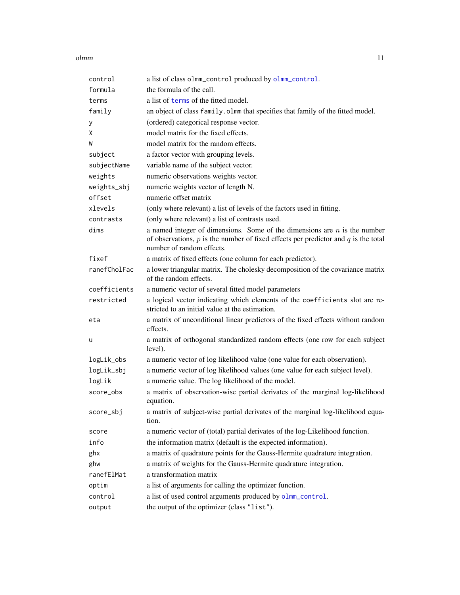#### <span id="page-10-0"></span>olmm and the contract of the contract of the contract of the contract of the contract of the contract of the contract of the contract of the contract of the contract of the contract of the contract of the contract of the c

| control      | a list of class olmm_control produced by olmm_control.                                                                                                                                             |
|--------------|----------------------------------------------------------------------------------------------------------------------------------------------------------------------------------------------------|
| formula      | the formula of the call.                                                                                                                                                                           |
| terms        | a list of terms of the fitted model.                                                                                                                                                               |
| family       | an object of class family. olmm that specifies that family of the fitted model.                                                                                                                    |
| у            | (ordered) categorical response vector.                                                                                                                                                             |
| χ            | model matrix for the fixed effects.                                                                                                                                                                |
| W            | model matrix for the random effects.                                                                                                                                                               |
| subject      | a factor vector with grouping levels.                                                                                                                                                              |
| subjectName  | variable name of the subject vector.                                                                                                                                                               |
| weights      | numeric observations weights vector.                                                                                                                                                               |
| weights_sbj  | numeric weights vector of length N.                                                                                                                                                                |
| offset       | numeric offset matrix                                                                                                                                                                              |
| xlevels      | (only where relevant) a list of levels of the factors used in fitting.                                                                                                                             |
| contrasts    | (only where relevant) a list of contrasts used.                                                                                                                                                    |
| dims         | a named integer of dimensions. Some of the dimensions are $n$ is the number<br>of observations, $p$ is the number of fixed effects per predictor and $q$ is the total<br>number of random effects. |
| fixef        | a matrix of fixed effects (one column for each predictor).                                                                                                                                         |
| ranefCholFac | a lower triangular matrix. The cholesky decomposition of the covariance matrix<br>of the random effects.                                                                                           |
| coefficients | a numeric vector of several fitted model parameters                                                                                                                                                |
| restricted   | a logical vector indicating which elements of the coefficients slot are re-<br>stricted to an initial value at the estimation.                                                                     |
| eta          | a matrix of unconditional linear predictors of the fixed effects without random<br>effects.                                                                                                        |
| u            | a matrix of orthogonal standardized random effects (one row for each subject<br>level).                                                                                                            |
| logLik_obs   | a numeric vector of log likelihood value (one value for each observation).                                                                                                                         |
| logLik_sbj   | a numeric vector of log likelihood values (one value for each subject level).                                                                                                                      |
| logLik       | a numeric value. The log likelihood of the model.                                                                                                                                                  |
| score_obs    | a matrix of observation-wise partial derivates of the marginal log-likelihood<br>equation.                                                                                                         |
| score_sbj    | a matrix of subject-wise partial derivates of the marginal log-likelihood equa-<br>tion.                                                                                                           |
| score        | a numeric vector of (total) partial derivates of the log-Likelihood function.                                                                                                                      |
| info         | the information matrix (default is the expected information).                                                                                                                                      |
| ghx          | a matrix of quadrature points for the Gauss-Hermite quadrature integration.                                                                                                                        |
| ghw          | a matrix of weights for the Gauss-Hermite quadrature integration.                                                                                                                                  |
| ranefElMat   | a transformation matrix                                                                                                                                                                            |
| optim        | a list of arguments for calling the optimizer function.                                                                                                                                            |
| control      | a list of used control arguments produced by olmm_control.                                                                                                                                         |
| output       | the output of the optimizer (class "list").                                                                                                                                                        |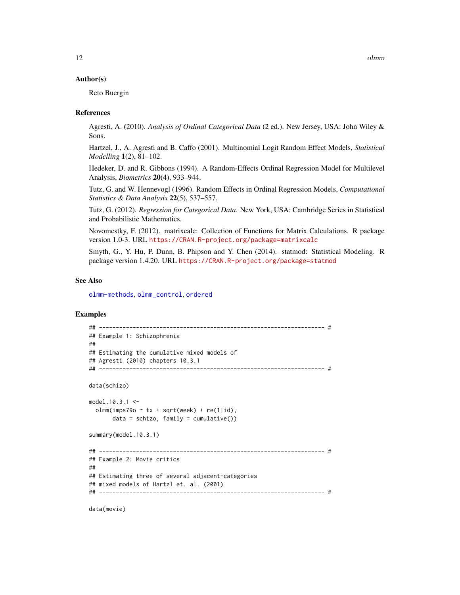#### <span id="page-11-0"></span>Author(s)

Reto Buergin

#### References

Agresti, A. (2010). *Analysis of Ordinal Categorical Data* (2 ed.). New Jersey, USA: John Wiley & Sons.

Hartzel, J., A. Agresti and B. Caffo (2001). Multinomial Logit Random Effect Models, *Statistical Modelling* 1(2), 81–102.

Hedeker, D. and R. Gibbons (1994). A Random-Effects Ordinal Regression Model for Multilevel Analysis, *Biometrics* 20(4), 933–944.

Tutz, G. and W. Hennevogl (1996). Random Effects in Ordinal Regression Models, *Computational Statistics & Data Analysis* 22(5), 537–557.

Tutz, G. (2012). *Regression for Categorical Data*. New York, USA: Cambridge Series in Statistical and Probabilistic Mathematics.

Novomestky, F. (2012). matrixcalc: Collection of Functions for Matrix Calculations. R package version 1.0-3. URL <https://CRAN.R-project.org/package=matrixcalc>

Smyth, G., Y. Hu, P. Dunn, B. Phipson and Y. Chen (2014). statmod: Statistical Modeling. R package version 1.4.20. URL <https://CRAN.R-project.org/package=statmod>

#### See Also

[olmm-methods](#page-16-2), [olmm\\_control](#page-12-1), [ordered](#page-0-0)

#### Examples

```
## ------------------------------------------------------------------- #
## Example 1: Schizophrenia
##
## Estimating the cumulative mixed models of
## Agresti (2010) chapters 10.3.1
## ------------------------------------------------------------------- #
data(schizo)
model.10.3.1 <-
 olmm(imps79o \sim tx + sqrt(week) + re(1|id),
      data = schizo, family = cumulative()summary(model.10.3.1)
## ------------------------------------------------------------------- #
## Example 2: Movie critics
##
## Estimating three of several adjacent-categories
## mixed models of Hartzl et. al. (2001)
## ------------------------------------------------------------------- #
```
data(movie)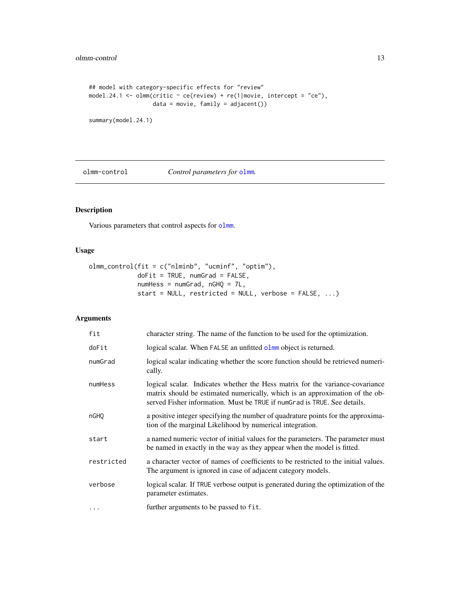```
## model with category-specific effects for "review"
model.24.1 <- olmm(critic \sim ce(review) + re(1|movie, intercept = "ce"),
                   data = movie, family = adjacent())
```

```
summary(model.24.1)
```
olmm-control *Control parameters for* [olmm](#page-8-2)*.*

## <span id="page-12-1"></span>Description

Various parameters that control aspects for [olmm](#page-8-2).

## Usage

```
olmm_control(fit = c("nlminb", "ucminf", "optim"),
            doFit = TRUE, numGrad = FALSE,
            numHess = numGrad, nGHQ = 7L,
             start = NULL, restricted = NULL, verbose = FALSE, ...)
```
## Arguments

| fit              | character string. The name of the function to be used for the optimization.                                                                                                                                                               |
|------------------|-------------------------------------------------------------------------------------------------------------------------------------------------------------------------------------------------------------------------------------------|
| doFit            | logical scalar. When FALSE an unfitted olmm object is returned.                                                                                                                                                                           |
| numGrad          | logical scalar indicating whether the score function should be retrieved numeri-<br>cally.                                                                                                                                                |
| numHess          | logical scalar. Indicates whether the Hess matrix for the variance-covariance<br>matrix should be estimated numerically, which is an approximation of the ob-<br>served Fisher information. Must be TRUE if numGrad is TRUE. See details. |
| nGH <sub>O</sub> | a positive integer specifying the number of quadrature points for the approxima-<br>tion of the marginal Likelihood by numerical integration.                                                                                             |
| start            | a named numeric vector of initial values for the parameters. The parameter must<br>be named in exactly in the way as they appear when the model is fitted.                                                                                |
| restricted       | a character vector of names of coefficients to be restricted to the initial values.<br>The argument is ignored in case of adjacent category models.                                                                                       |
| verbose          | logical scalar. If TRUE verbose output is generated during the optimization of the<br>parameter estimates.                                                                                                                                |
| $\ddotsc$        | further arguments to be passed to fit.                                                                                                                                                                                                    |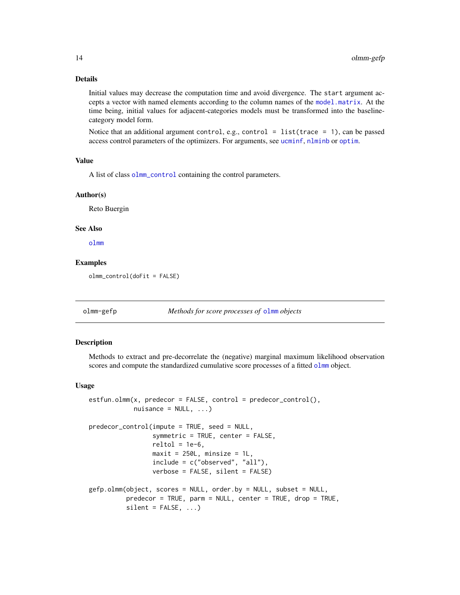## Details

Initial values may decrease the computation time and avoid divergence. The start argument accepts a vector with named elements according to the column names of the [model.matrix](#page-0-0). At the time being, initial values for adjacent-categories models must be transformed into the baselinecategory model form.

Notice that an additional argument control, e.g., control = list(trace = 1), can be passed access control parameters of the optimizers. For arguments, see [ucminf](#page-0-0), [nlminb](#page-0-0) or [optim](#page-0-0).

## Value

A list of class [olmm\\_control](#page-12-1) containing the control parameters.

## Author(s)

Reto Buergin

## See Also

[olmm](#page-8-2)

#### Examples

olmm\_control(doFit = FALSE)

olmm-gefp *Methods for score processes of* [olmm](#page-8-2) *objects*

#### <span id="page-13-1"></span>**Description**

Methods to extract and pre-decorrelate the (negative) marginal maximum likelihood observation scores and compute the standardized cumulative score processes of a fitted [olmm](#page-8-2) object.

#### Usage

```
estfun.olmm(x, predecor = FALSE, control = predecor_control(),
            nuisance = NULL, ...)predecor_control(impute = TRUE, seed = NULL,
                 symmetric = TRUE, center = FALSE,
                 reltol = 1e-6,
                 maxit = 250L, minsize = 1L,
                 include = c("observed", "all"),
                 verbose = FALSE, silent = FALSE)
gefp.olmm(object, scores = NULL, order.by = NULL, subset = NULL,
         predecor = TRUE, parm = NULL, center = TRUE, drop = TRUE,
          silent = FALSE, ...)
```
<span id="page-13-0"></span>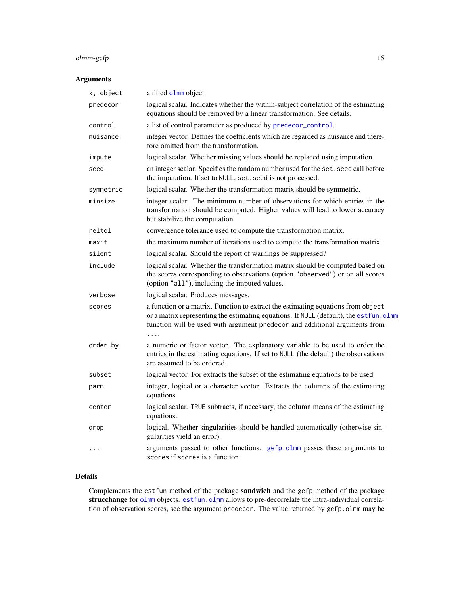## <span id="page-14-0"></span>olmm-gefp 15

## Arguments

| x, object | a fitted olmm object.                                                                                                                                                                                                                                     |
|-----------|-----------------------------------------------------------------------------------------------------------------------------------------------------------------------------------------------------------------------------------------------------------|
| predecor  | logical scalar. Indicates whether the within-subject correlation of the estimating<br>equations should be removed by a linear transformation. See details.                                                                                                |
| control   | a list of control parameter as produced by predecor_control.                                                                                                                                                                                              |
| nuisance  | integer vector. Defines the coefficients which are regarded as nuisance and there-<br>fore omitted from the transformation.                                                                                                                               |
| impute    | logical scalar. Whether missing values should be replaced using imputation.                                                                                                                                                                               |
| seed      | an integer scalar. Specifies the random number used for the set. seed call before<br>the imputation. If set to NULL, set. seed is not processed.                                                                                                          |
| symmetric | logical scalar. Whether the transformation matrix should be symmetric.                                                                                                                                                                                    |
| minsize   | integer scalar. The minimum number of observations for which entries in the<br>transformation should be computed. Higher values will lead to lower accuracy<br>but stabilize the computation.                                                             |
| reltol    | convergence tolerance used to compute the transformation matrix.                                                                                                                                                                                          |
| maxit     | the maximum number of iterations used to compute the transformation matrix.                                                                                                                                                                               |
| silent    | logical scalar. Should the report of warnings be suppressed?                                                                                                                                                                                              |
| include   | logical scalar. Whether the transformation matrix should be computed based on<br>the scores corresponding to observations (option "observed") or on all scores<br>(option "all"), including the imputed values.                                           |
| verbose   | logical scalar. Produces messages.                                                                                                                                                                                                                        |
| scores    | a function or a matrix. Function to extract the estimating equations from object<br>or a matrix representing the estimating equations. If NULL (default), the est fun. olmm<br>function will be used with argument predecor and additional arguments from |
| order.by  | a numeric or factor vector. The explanatory variable to be used to order the<br>entries in the estimating equations. If set to NULL (the default) the observations<br>are assumed to be ordered.                                                          |
| subset    | logical vector. For extracts the subset of the estimating equations to be used.                                                                                                                                                                           |
| parm      | integer, logical or a character vector. Extracts the columns of the estimating<br>equations.                                                                                                                                                              |
| center    | logical scalar. TRUE subtracts, if necessary, the column means of the estimating<br>equations.                                                                                                                                                            |
| drop      | logical. Whether singularities should be handled automatically (otherwise sin-<br>gularities yield an error).                                                                                                                                             |
| $\ddots$  | arguments passed to other functions. gefp.olmm passes these arguments to<br>scores if scores is a function.                                                                                                                                               |

## Details

Complements the estfun method of the package sandwich and the gefp method of the package strucchange for [olmm](#page-8-2) objects. [estfun.olmm](#page-13-1) allows to pre-decorrelate the intra-individual correlation of observation scores, see the argument predecor. The value returned by gefp.olmm may be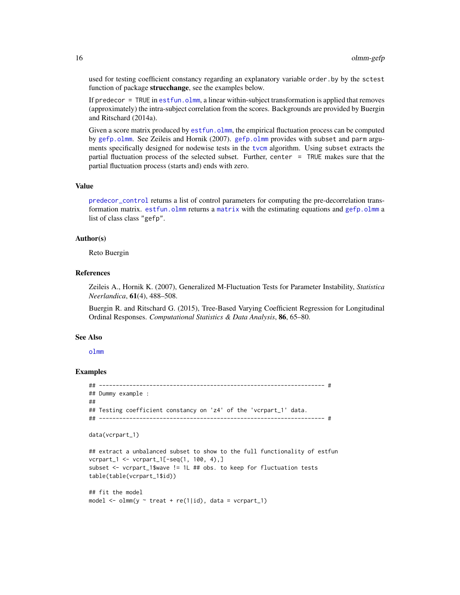used for testing coefficient constancy regarding an explanatory variable order.by by the sctest function of package strucchange, see the examples below.

If predecor  $=$  TRUE in est fun. olmm, a linear within-subject transformation is applied that removes (approximately) the intra-subject correlation from the scores. Backgrounds are provided by Buergin and Ritschard (2014a).

Given a score matrix produced by [estfun.olmm](#page-13-1), the empirical fluctuation process can be computed by [gefp.olmm](#page-13-1). See Zeileis and Hornik (2007). [gefp.olmm](#page-13-1) provides with subset and parm arguments specifically designed for nodewise tests in the [tvcm](#page-33-1) algorithm. Using subset extracts the partial fluctuation process of the selected subset. Further, center = TRUE makes sure that the partial fluctuation process (starts and) ends with zero.

#### Value

[predecor\\_control](#page-13-1) returns a list of control parameters for computing the pre-decorrelation transformation [matrix](#page-0-0). est fun.olmm returns a matrix with the estimating equations and  $g \in f_p$ .olmm a list of class class "gefp".

#### Author(s)

Reto Buergin

#### References

Zeileis A., Hornik K. (2007), Generalized M-Fluctuation Tests for Parameter Instability, *Statistica Neerlandica*, 61(4), 488–508.

Buergin R. and Ritschard G. (2015), Tree-Based Varying Coefficient Regression for Longitudinal Ordinal Responses. *Computational Statistics & Data Analysis*, 86, 65–80.

#### See Also

[olmm](#page-8-2)

#### Examples

```
## ------------------------------------------------------------------- #
## Dummy example :
##
## Testing coefficient constancy on 'z4' of the 'vcrpart_1' data.
## ------------------------------------------------------------------- #
data(vcrpart_1)
```

```
## extract a unbalanced subset to show to the full functionality of estfun
vcrpart_1 <- vcrpart_1[-seq(1, 100, 4),]
subset <- vcrpart_1$wave != 1L ## obs. to keep for fluctuation tests
table(table(vcrpart_1$id))
```

```
## fit the model
model \le - olmm(y \le treat + re(1|id), data = vcrpart_1)
```
<span id="page-15-0"></span>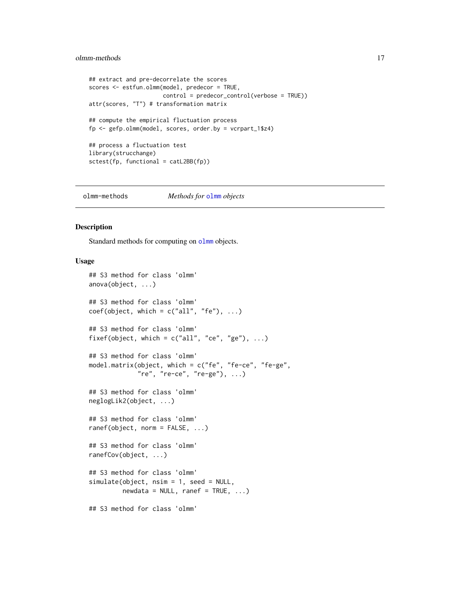## <span id="page-16-0"></span>olmm-methods 17

```
## extract and pre-decorrelate the scores
scores <- estfun.olmm(model, predecor = TRUE,
                      control = predecor_control(verbose = TRUE))
attr(scores, "T") # transformation matrix
## compute the empirical fluctuation process
fp <- gefp.olmm(model, scores, order.by = vcrpart_1$z4)
## process a fluctuation test
library(strucchange)
sctest(fp, functional = catL2BB(fp))
```
<span id="page-16-2"></span>olmm-methods *Methods for* [olmm](#page-8-2) *objects*

## <span id="page-16-1"></span>Description

Standard methods for computing on [olmm](#page-8-2) objects.

#### Usage

```
## S3 method for class 'olmm'
anova(object, ...)
## S3 method for class 'olmm'
coef(object, which = c("all", "fe"), ...)## S3 method for class 'olmm'
fixef(object, which = c("all", "ce", "ge"), ...)
## S3 method for class 'olmm'
model.matrix(object, which = c("fe", "fe-ce", "fe-ge",
             "re", "re-ce", "re-ge"), ...)
## S3 method for class 'olmm'
neglogLik2(object, ...)
## S3 method for class 'olmm'
ranef(object, norm = FALSE, ...)
## S3 method for class 'olmm'
ranefCov(object, ...)
## S3 method for class 'olmm'
simulate(object, nsim = 1, seed = NULL,
         newdata = NULL, \text{rand } = TRUE, ...## S3 method for class 'olmm'
```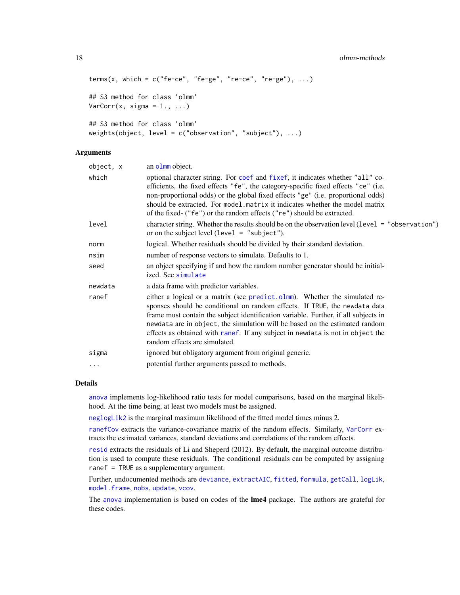#### <span id="page-17-0"></span>18 olmm-methods and the state of the state of the state of the state of the state of the state of the state of the state of the state of the state of the state of the state of the state of the state of the state of the sta

```
terms(x, which = c("fe-ce", "fe-ge", "re-ce", "re-ce", "re-ge"), ...)## S3 method for class 'olmm'
VarCorr(x, sigma = 1., ...)## S3 method for class 'olmm'
weights(object, level = c("observation", "subject"), ...)
```
#### Arguments

| object, x | an olmm object.                                                                                                                                                                                                                                                                                                                                                                                                                                   |
|-----------|---------------------------------------------------------------------------------------------------------------------------------------------------------------------------------------------------------------------------------------------------------------------------------------------------------------------------------------------------------------------------------------------------------------------------------------------------|
| which     | optional character string. For coef and fixef, it indicates whether "all" co-<br>efficients, the fixed effects "fe", the category-specific fixed effects "ce" (i.e.<br>non-proportional odds) or the global fixed effects "ge" (i.e. proportional odds)<br>should be extracted. For model matrix it indicates whether the model matrix<br>of the fixed- ("fe") or the random effects ("re") should be extracted.                                  |
| level     | character string. Whether the results should be on the observation level (level = "observation")<br>or on the subject level (level $=$ "subject").                                                                                                                                                                                                                                                                                                |
| norm      | logical. Whether residuals should be divided by their standard deviation.                                                                                                                                                                                                                                                                                                                                                                         |
| nsim      | number of response vectors to simulate. Defaults to 1.                                                                                                                                                                                                                                                                                                                                                                                            |
| seed      | an object specifying if and how the random number generator should be initial-<br>ized. See simulate                                                                                                                                                                                                                                                                                                                                              |
| newdata   | a data frame with predictor variables.                                                                                                                                                                                                                                                                                                                                                                                                            |
| ranef     | either a logical or a matrix (see predict.olmm). Whether the simulated re-<br>sponses should be conditional on random effects. If TRUE, the newdata data<br>frame must contain the subject identification variable. Further, if all subjects in<br>newdata are in object, the simulation will be based on the estimated random<br>effects as obtained with ranef. If any subject in newdata is not in object the<br>random effects are simulated. |
| sigma     | ignored but obligatory argument from original generic.                                                                                                                                                                                                                                                                                                                                                                                            |
| .         | potential further arguments passed to methods.                                                                                                                                                                                                                                                                                                                                                                                                    |
|           |                                                                                                                                                                                                                                                                                                                                                                                                                                                   |

## Details

[anova](#page-0-0) implements log-likelihood ratio tests for model comparisons, based on the marginal likelihood. At the time being, at least two models must be assigned.

[neglogLik2](#page-16-1) is the marginal maximum likelihood of the fitted model times minus 2.

[ranefCov](#page-16-1) extracts the variance-covariance matrix of the random effects. Similarly, [VarCorr](#page-16-1) extracts the estimated variances, standard deviations and correlations of the random effects.

[resid](#page-0-0) extracts the residuals of Li and Sheperd (2012). By default, the marginal outcome distribution is used to compute these residuals. The conditional residuals can be computed by assigning ranef = TRUE as a supplementary argument.

Further, undocumented methods are [deviance](#page-0-0), [extractAIC](#page-0-0), [fitted](#page-0-0), [formula](#page-0-0), [getCall](#page-0-0), [logLik](#page-0-0), [model.frame](#page-0-0), [nobs](#page-0-0), [update](#page-0-0), [vcov](#page-0-0).

The [anova](#page-0-0) implementation is based on codes of the **lme4** package. The authors are grateful for these codes.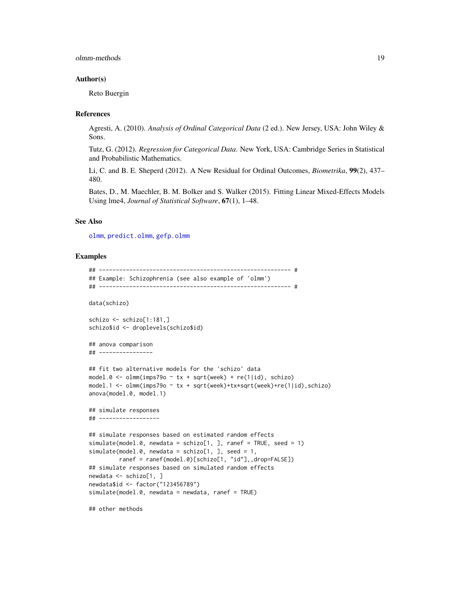#### <span id="page-18-0"></span>olmm-methods 19

#### Author(s)

Reto Buergin

#### **References**

Agresti, A. (2010). *Analysis of Ordinal Categorical Data* (2 ed.). New Jersey, USA: John Wiley & Sons.

Tutz, G. (2012). *Regression for Categorical Data*. New York, USA: Cambridge Series in Statistical and Probabilistic Mathematics.

Li, C. and B. E. Sheperd (2012). A New Residual for Ordinal Outcomes, *Biometrika*, 99(2), 437– 480.

Bates, D., M. Maechler, B. M. Bolker and S. Walker (2015). Fitting Linear Mixed-Effects Models Using lme4, *Journal of Statistical Software*, 67(1), 1–48.

## See Also

[olmm](#page-8-2), [predict.olmm](#page-19-1), [gefp.olmm](#page-13-1)

#### Examples

```
## --------------------------------------------------------- #
## Example: Schizophrenia (see also example of 'olmm')
## --------------------------------------------------------- #
data(schizo)
schizo \le schizo[1:181,]schizo$id <- droplevels(schizo$id)
## anova comparison
## ----------------
## fit two alternative models for the 'schizo' data
model.0 \leq -\n 0 \text{mm}(imps790 \leq x + \text{sqrt}week) + re(1|id), schizo)
model.1 <- olmm(imps79o ~ tx + sqrt(week)+tx*sqrt(week)+re(1|id),schizo)
anova(model.0, model.1)
## simulate responses
## ------------------
## simulate responses based on estimated random effects
simulate(model.0, newdata = schizo[1, ], ranef = TRUE, seed = 1)
simulate(model.0, newdata = schizo[1, ], seed = 1,
         ranef = ranef(model.0)[schizo[1, "id"],,drop=FALSE])
## simulate responses based on simulated random effects
newdata <- schizo[1, ]
newdata$id <- factor("123456789")
simulate(model.0, newdata = newdata, ranef = TRUE)
```
## other methods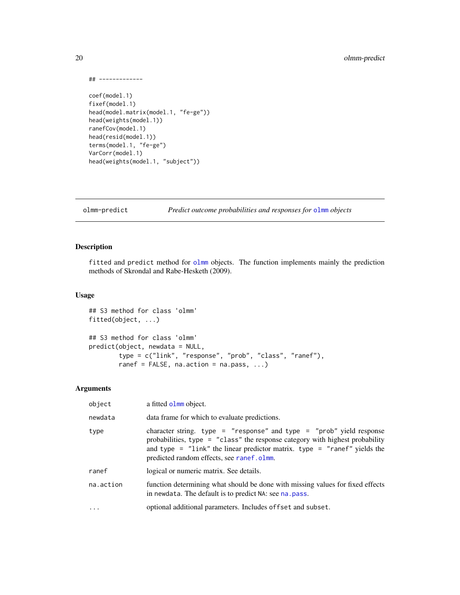```
## -------------
coef(model.1)
fixef(model.1)
head(model.matrix(model.1, "fe-ge"))
head(weights(model.1))
ranefCov(model.1)
head(resid(model.1))
terms(model.1, "fe-ge")
VarCorr(model.1)
head(weights(model.1, "subject"))
```
olmm-predict *Predict outcome probabilities and responses for* [olmm](#page-8-2) *objects*

## <span id="page-19-1"></span>Description

fitted and predict method for [olmm](#page-8-2) objects. The function implements mainly the prediction methods of Skrondal and Rabe-Hesketh (2009).

## Usage

```
## S3 method for class 'olmm'
fitted(object, ...)
## S3 method for class 'olmm'
predict(object, newdata = NULL,
        type = c("link", "response", "prob", "class", "ranef"),
        ranef = FALSE, na.action = na.pass, \ldots)
```
## Arguments

| object    | a fitted olmm object.                                                                                                                                                                                                                                                              |
|-----------|------------------------------------------------------------------------------------------------------------------------------------------------------------------------------------------------------------------------------------------------------------------------------------|
| newdata   | data frame for which to evaluate predictions.                                                                                                                                                                                                                                      |
| type      | character string. type = "response" and type = "prob" yield response<br>probabilities, type = $"class"$ the response category with highest probability<br>and type = $"link"$ the linear predictor matrix. type = $"rand"$ yields the<br>predicted random effects, see ranef.olmm. |
| ranef     | logical or numeric matrix. See details.                                                                                                                                                                                                                                            |
| na.action | function determining what should be done with missing values for fixed effects<br>in newdata. The default is to predict NA: see na. pass.                                                                                                                                          |
| $\cdots$  | optional additional parameters. Includes of fset and subset.                                                                                                                                                                                                                       |

<span id="page-19-0"></span>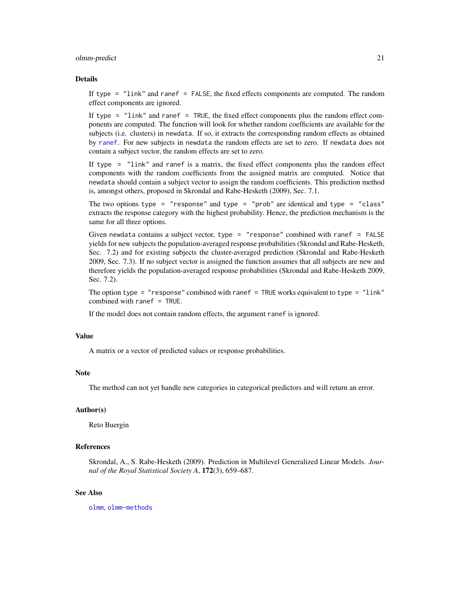#### <span id="page-20-0"></span>olmm-predict 21

#### Details

If type = "link" and ranef = FALSE, the fixed effects components are computed. The random effect components are ignored.

If type = "link" and ranef = TRUE, the fixed effect components plus the random effect components are computed. The function will look for whether random coefficients are available for the subjects (i.e. clusters) in newdata. If so, it extracts the corresponding random effects as obtained by [ranef](#page-16-1). For new subjects in newdata the random effects are set to zero. If newdata does not contain a subject vector, the random effects are set to zero.

If type = "link" and ranef is a matrix, the fixed effect components plus the random effect components with the random coefficients from the assigned matrix are computed. Notice that newdata should contain a subject vector to assign the random coefficients. This prediction method is, amongst others, proposed in Skrondal and Rabe-Hesketh (2009), Sec. 7.1.

The two options type = "response" and type = "prob" are identical and type = "class" extracts the response category with the highest probability. Hence, the prediction mechanism is the same for all three options.

Given newdata contains a subject vector, type = "response" combined with ranef = FALSE yields for new subjects the population-averaged response probabilities (Skrondal and Rabe-Hesketh, Sec. 7.2) and for existing subjects the cluster-averaged prediction (Skrondal and Rabe-Hesketh 2009, Sec. 7.3). If no subject vector is assigned the function assumes that all subjects are new and therefore yields the population-averaged response probabilities (Skrondal and Rabe-Hesketh 2009, Sec. 7.2).

The option type = "response" combined with ranef = TRUE works equivalent to type = "link" combined with ranef = TRUE.

If the model does not contain random effects, the argument ranef is ignored.

#### Value

A matrix or a vector of predicted values or response probabilities.

#### **Note**

The method can not yet handle new categories in categorical predictors and will return an error.

#### Author(s)

Reto Buergin

## References

Skrondal, A., S. Rabe-Hesketh (2009). Prediction in Multilevel Generalized Linear Models. *Journal of the Royal Statistical Society A*, 172(3), 659–687.

#### See Also

[olmm](#page-8-2), [olmm-methods](#page-16-2)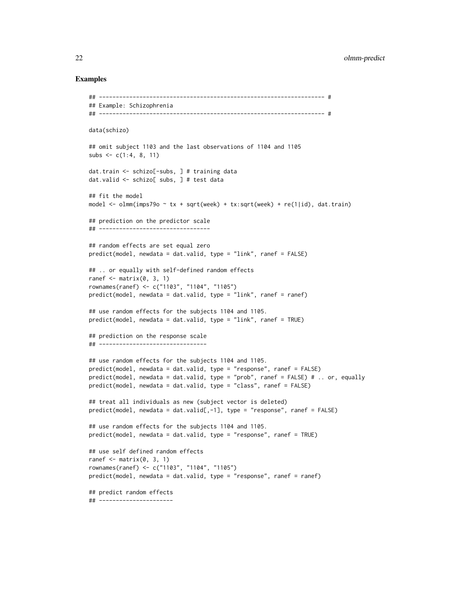### Examples

```
## ------------------------------------------------------------------- #
## Example: Schizophrenia
## ------------------------------------------------------------------- #
data(schizo)
## omit subject 1103 and the last observations of 1104 and 1105
subs \leq c(1:4, 8, 11)dat.train <- schizo[-subs, ] # training data
dat.valid <- schizo[ subs, ] # test data
## fit the model
model \le - olmm(imps79o \sim tx + sqrt(week) + tx:sqrt(week) + re(1|id), dat.train)
## prediction on the predictor scale
## ---------------------------------
## random effects are set equal zero
predict(model, newdata = dat.valid, type = "link", ranef = FALSE)
## .. or equally with self-defined random effects
ranef \leq matrix(0, 3, 1)
rownames(ranef) <- c("1103", "1104", "1105")
predict(model, newdata = dat.valid, type = "link", ranef = ranef)
## use random effects for the subjects 1104 and 1105.
predict(model, newdata = dat.valid, type = "link", ranef = TRUE)
## prediction on the response scale
## --------------------------------
## use random effects for the subjects 1104 and 1105.
predict(model, newdata = dat.valid, type = "response", ranef = FALSE)
predict(model, newdata = dat.valid, type = "prob", ranef = FALSE) # .. or, equally
predict(model, newdata = dat.valid, type = "class", ranef = FALSE)
## treat all individuals as new (subject vector is deleted)
predict(model, newdata = dat.valid[,-1], type = "response", ranef = FALSE)
## use random effects for the subjects 1104 and 1105.
predict(model, newdata = dat.valid, type = "response", ranef = TRUE)
## use self defined random effects
ranef \leq matrix(0, 3, 1)
rownames(ranef) <- c("1103", "1104", "1105")
predict(model, newdata = dat.valid, type = "response", ranef = ranef)
## predict random effects
## ----------------------
```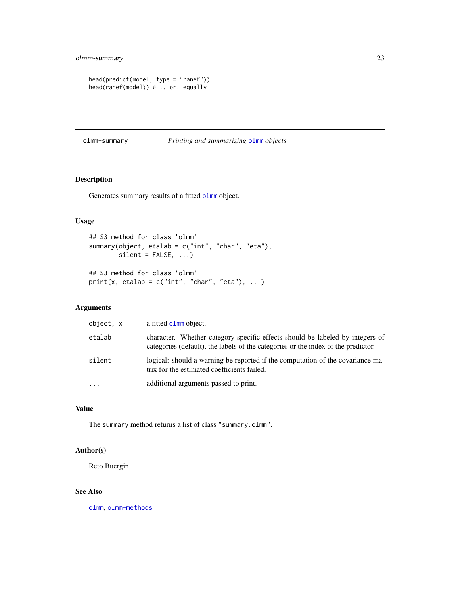```
head(predict(model, type = "ranef"))
head(ranef(model)) # .. or, equally
```
## olmm-summary *Printing and summarizing* [olmm](#page-8-2) *objects*

## Description

Generates summary results of a fitted [olmm](#page-8-2) object.

## Usage

```
## S3 method for class 'olmm'
summary(object, etalab = c("int", "char", "eta"),
        silent = FALSE, ...)## S3 method for class 'olmm'
print(x, etalab = c("int", "char", "eta"), ...)
```
## Arguments

| object, x | a fitted olmm object.                                                                                                                                              |
|-----------|--------------------------------------------------------------------------------------------------------------------------------------------------------------------|
| etalab    | character. Whether category-specific effects should be labeled by integers of<br>categories (default), the labels of the categories or the index of the predictor. |
| silent    | logical: should a warning be reported if the computation of the covariance ma-<br>trix for the estimated coefficients failed.                                      |
| $\ddotsc$ | additional arguments passed to print.                                                                                                                              |

#### Value

The summary method returns a list of class "summary.olmm".

## Author(s)

Reto Buergin

## See Also

[olmm](#page-8-2), [olmm-methods](#page-16-2)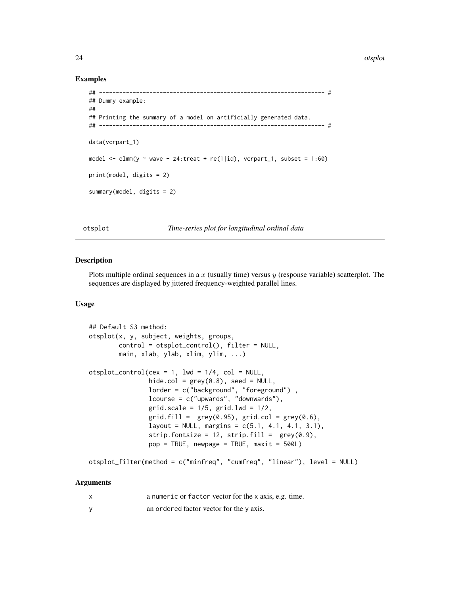<span id="page-23-0"></span>24 otsplot

#### Examples

```
## ------------------------------------------------------------------- #
## Dummy example:
##
## Printing the summary of a model on artificially generated data.
## ------------------------------------------------------------------- #
data(vcrpart_1)
model \le - olmm(y \sim wave + z4:treat + re(1|id), vcrpart_1, subset = 1:60)
print(model, digits = 2)
summary(model, digits = 2)
```
<span id="page-23-2"></span>otsplot *Time-series plot for longitudinal ordinal data*

## <span id="page-23-1"></span>Description

Plots multiple ordinal sequences in a  $x$  (usually time) versus  $y$  (response variable) scatterplot. The sequences are displayed by jittered frequency-weighted parallel lines.

#### Usage

```
## Default S3 method:
otsplot(x, y, subject, weights, groups,
       control = otsplot_control(), filter = NULL,
       main, xlab, ylab, xlim, ylim, ...)
otsplot_countrol(cex = 1, lwd = 1/4, col = NULL,hide.col = grey(0.8), seed = NULL,
                lorder = c("background", "foreground") ,
                lcourse = c("upwards", "downwards"),
                grid.scale = 1/5, grid.lwd = 1/2,
                grid.find = grey(0.95), grid,col = grey(0.6),layout = NULL, margins = c(5.1, 4.1, 4.1, 3.1),strip.fontsize = 12, strip.fill = grey(0.9),
                pop = TRUE, newpage = TRUE, maxit = 500L)
```
otsplot\_filter(method = c("minfreq", "cumfreq", "linear"), level = NULL)

#### Arguments

| a numeric or factor vector for the x axis, e.g. time. |
|-------------------------------------------------------|
| an ordered factor vector for the y axis.              |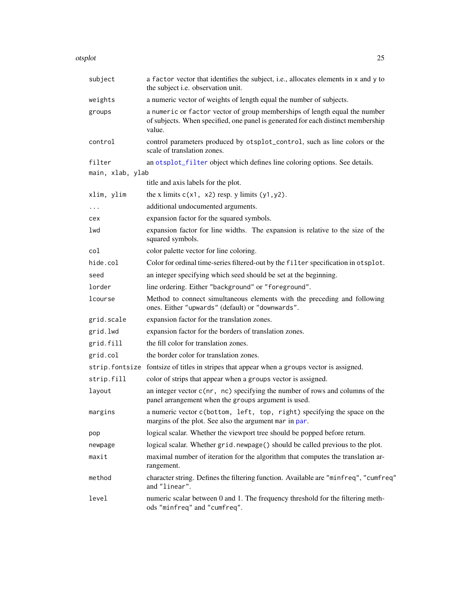<span id="page-24-0"></span>

| otsplot | 25 |
|---------|----|
|         |    |

| a factor vector that identifies the subject, i.e., allocates elements in x and y to<br>the subject i.e. observation unit.                                                |
|--------------------------------------------------------------------------------------------------------------------------------------------------------------------------|
| a numeric vector of weights of length equal the number of subjects.                                                                                                      |
| a numeric or factor vector of group memberships of length equal the number<br>of subjects. When specified, one panel is generated for each distinct membership<br>value. |
| control parameters produced by otsplot_control, such as line colors or the<br>scale of translation zones.                                                                |
| an otsplot_filter object which defines line coloring options. See details.                                                                                               |
| main, xlab, ylab                                                                                                                                                         |
| title and axis labels for the plot.                                                                                                                                      |
| the x limits $c(x1, x2)$ resp. y limits $(y1, y2)$ .                                                                                                                     |
| additional undocumented arguments.                                                                                                                                       |
| expansion factor for the squared symbols.                                                                                                                                |
| expansion factor for line widths. The expansion is relative to the size of the<br>squared symbols.                                                                       |
| color palette vector for line coloring.                                                                                                                                  |
| Color for ordinal time-series filtered-out by the filter specification in otsplot.                                                                                       |
| an integer specifying which seed should be set at the beginning.                                                                                                         |
| line ordering. Either "background" or "foreground".                                                                                                                      |
| Method to connect simultaneous elements with the preceding and following<br>ones. Either "upwards" (default) or "downwards".                                             |
| expansion factor for the translation zones.                                                                                                                              |
| expansion factor for the borders of translation zones.                                                                                                                   |
| the fill color for translation zones.                                                                                                                                    |
| the border color for translation zones.                                                                                                                                  |
| strip. fontsize fontsize of titles in stripes that appear when a groups vector is assigned.                                                                              |
| color of strips that appear when a groups vector is assigned.                                                                                                            |
| an integer vector c(nr, nc) specifying the number of rows and columns of the<br>panel arrangement when the groups argument is used.                                      |
| a numeric vector c(bottom, left, top, right) specifying the space on the<br>margins of the plot. See also the argument mar in par.                                       |
| logical scalar. Whether the viewport tree should be popped before return.                                                                                                |
| logical scalar. Whether grid.newpage() should be called previous to the plot.                                                                                            |
| maximal number of iteration for the algorithm that computes the translation ar-<br>rangement.                                                                            |
| character string. Defines the filtering function. Available are "minfreq", "cumfreq"<br>and "linear".                                                                    |
| numeric scalar between 0 and 1. The frequency threshold for the filtering meth-<br>ods "minfreq" and "cumfreq".                                                          |
|                                                                                                                                                                          |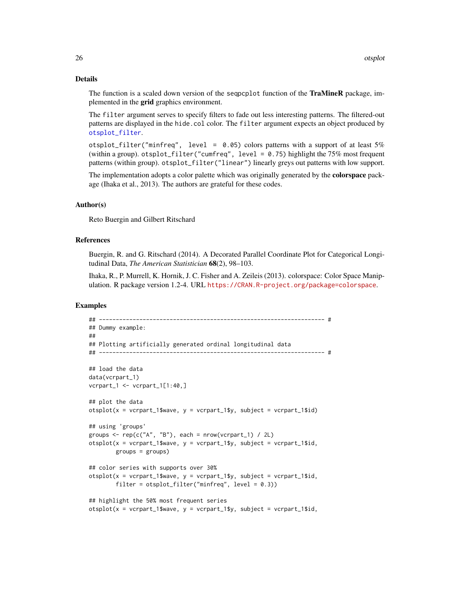#### Details

The function is a scaled down version of the seqpcplot function of the TraMineR package, implemented in the grid graphics environment.

The filter argument serves to specify filters to fade out less interesting patterns. The filtered-out patterns are displayed in the hide.col color. The filter argument expects an object produced by [otsplot\\_filter](#page-23-1).

otsplot\_filter("minfreq", level =  $0.05$ ) colors patterns with a support of at least  $5\%$ (within a group). otsplot\_filter("cumfreq", level =  $0.75$ ) highlight the 75% most frequent patterns (within group). otsplot\_filter("linear") linearly greys out patterns with low support.

The implementation adopts a color palette which was originally generated by the **colorspace** package (Ihaka et al., 2013). The authors are grateful for these codes.

#### Author(s)

Reto Buergin and Gilbert Ritschard

#### References

Buergin, R. and G. Ritschard (2014). A Decorated Parallel Coordinate Plot for Categorical Longitudinal Data, *The American Statistician* 68(2), 98–103.

Ihaka, R., P. Murrell, K. Hornik, J. C. Fisher and A. Zeileis (2013). colorspace: Color Space Manipulation. R package version 1.2-4. URL <https://CRAN.R-project.org/package=colorspace>.

#### Examples

```
## ------------------------------------------------------------------- #
## Dummy example:
##
## Plotting artificially generated ordinal longitudinal data
## ------------------------------------------------------------------- #
## load the data
data(vcrpart_1)
vcrpart_1 <- vcrpart_1[1:40,]
## plot the data
otsplot(x = vcrpart_1$wave, y = vcrpart_1$y, subject = vcrpart_1$id)
## using 'groups'
groups \leq rep(c("A", "B"), each = nrow(vcrpart_1) / 2L)
otsplot(x = vcrpart_1$wave, y = vcrpart_1$y, subject = vcrpart_1$id,groups = <math>groups</math>)## color series with supports over 30%
otsplot(x = vcrpart_1$wave, y = vcrpart_1$y, subject = vcrpart_1$id,filter = otsplot_filter("minfreq", level = 0.3))
## highlight the 50% most frequent series
otsplot(x = vcrpart_1$wave, y = vcrpart_1$y, subject = vcrpart_1$id,
```
<span id="page-25-0"></span>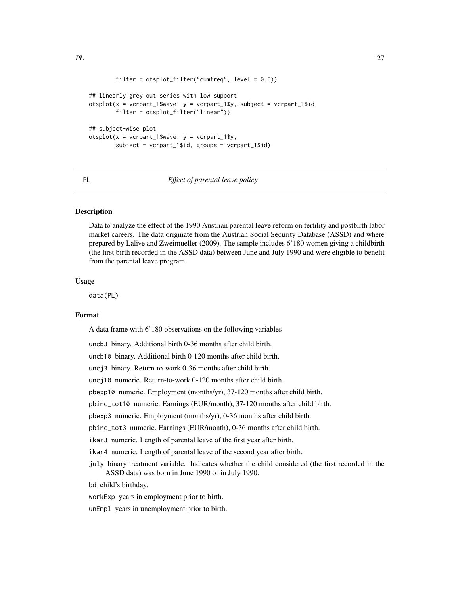```
filter = otsplot_fitter("cumfreq", level = 0.5))
## linearly grey out series with low support
otsplot(x = vcrpart_1$wave, y = vcrpart_1$y, subject = vcrpart_1$id,filter = otsplot_filter("linear"))
## subject-wise plot
otsplot(x = vcrpart_1$wave, y = vcrpart_1$y,
        subject = vcrpart_1$id, groups = vcrpart_1$id)
```
PL *Effect of parental leave policy*

## Description

Data to analyze the effect of the 1990 Austrian parental leave reform on fertility and postbirth labor market careers. The data originate from the Austrian Social Security Database (ASSD) and where prepared by Lalive and Zweimueller (2009). The sample includes 6'180 women giving a childbirth (the first birth recorded in the ASSD data) between June and July 1990 and were eligible to benefit from the parental leave program.

#### Usage

data(PL)

#### Format

A data frame with 6'180 observations on the following variables

uncb3 binary. Additional birth 0-36 months after child birth.

uncb10 binary. Additional birth 0-120 months after child birth.

uncj3 binary. Return-to-work 0-36 months after child birth.

uncj10 numeric. Return-to-work 0-120 months after child birth.

pbexp10 numeric. Employment (months/yr), 37-120 months after child birth.

pbinc\_tot10 numeric. Earnings (EUR/month), 37-120 months after child birth.

pbexp3 numeric. Employment (months/yr), 0-36 months after child birth.

pbinc\_tot3 numeric. Earnings (EUR/month), 0-36 months after child birth.

ikar3 numeric. Length of parental leave of the first year after birth.

ikar4 numeric. Length of parental leave of the second year after birth.

july binary treatment variable. Indicates whether the child considered (the first recorded in the ASSD data) was born in June 1990 or in July 1990.

bd child's birthday.

workExp years in employment prior to birth.

unEmpl years in unemployment prior to birth.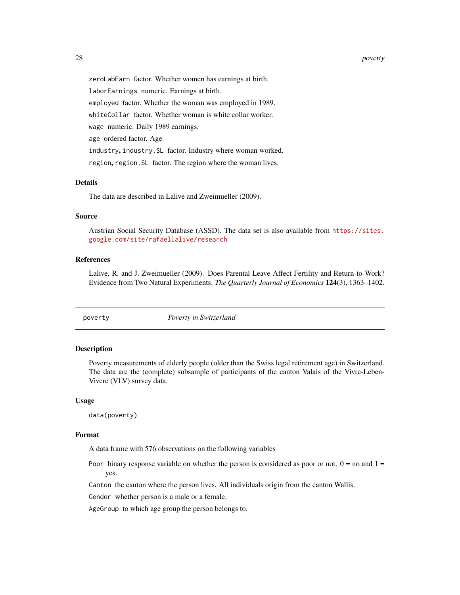#### <span id="page-27-0"></span>28 poverty

zeroLabEarn factor. Whether women has earnings at birth. laborEarnings numeric. Earnings at birth. employed factor. Whether the woman was employed in 1989. whiteCollar factor. Whether woman is white collar worker. wage numeric. Daily 1989 earnings. age ordered factor. Age. industry, industry.SL factor. Industry where woman worked. region, region.SL factor. The region where the woman lives.

#### Details

The data are described in Lalive and Zweimueller (2009).

## Source

Austrian Social Security Database (ASSD). The data set is also available from [https://sites.](https://sites.google.com/site/rafaellalive/research) [google.com/site/rafaellalive/research](https://sites.google.com/site/rafaellalive/research)

## References

Lalive, R. and J. Zweimueller (2009). Does Parental Leave Affect Fertility and Return-to-Work? Evidence from Two Natural Experiments. *The Quarterly Journal of Economics* 124(3), 1363–1402.

poverty *Poverty in Switzerland*

#### Description

Poverty measurements of elderly people (older than the Swiss legal retirement age) in Switzerland. The data are the (complete) subsample of participants of the canton Valais of the Vivre-Leben-Vivere (VLV) survey data.

#### Usage

data(poverty)

#### Format

A data frame with 576 observations on the following variables

Poor binary response variable on whether the person is considered as poor or not.  $0 =$  no and  $1 =$ yes.

Canton the canton where the person lives. All individuals origin from the canton Wallis.

Gender whether person is a male or a female.

AgeGroup to which age group the person belongs to.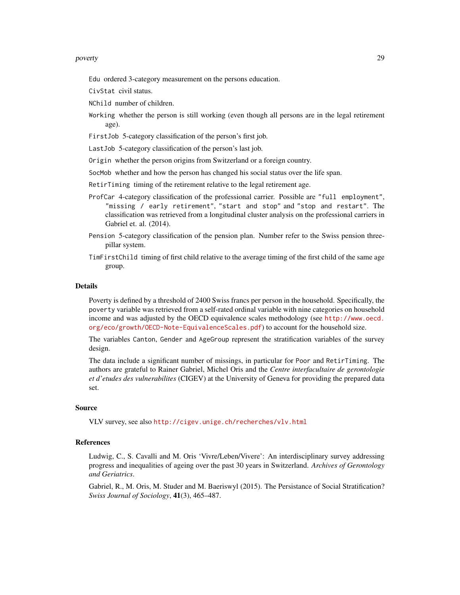#### poverty and the contract of the contract of the contract of the contract of the contract of the contract of the contract of the contract of the contract of the contract of the contract of the contract of the contract of th

Edu ordered 3-category measurement on the persons education.

CivStat civil status.

NChild number of children.

Working whether the person is still working (even though all persons are in the legal retirement age).

FirstJob 5-category classification of the person's first job.

LastJob 5-category classification of the person's last job.

Origin whether the person origins from Switzerland or a foreign country.

SocMob whether and how the person has changed his social status over the life span.

- RetirTiming timing of the retirement relative to the legal retirement age.
- ProfCar 4-category classification of the professional carrier. Possible are "full employment", "missing / early retirement", "start and stop" and "stop and restart". The classification was retrieved from a longitudinal cluster analysis on the professional carriers in Gabriel et. al. (2014).
- Pension 5-category classification of the pension plan. Number refer to the Swiss pension threepillar system.
- TimFirstChild timing of first child relative to the average timing of the first child of the same age group.

### Details

Poverty is defined by a threshold of 2400 Swiss francs per person in the household. Specifically, the poverty variable was retrieved from a self-rated ordinal variable with nine categories on household income and was adjusted by the OECD equivalence scales methodology (see [http://www.oecd.](http://www.oecd.org/eco/growth/OECD-Note-EquivalenceScales.pdf) [org/eco/growth/OECD-Note-EquivalenceScales.pdf](http://www.oecd.org/eco/growth/OECD-Note-EquivalenceScales.pdf)) to account for the household size.

The variables Canton, Gender and AgeGroup represent the stratification variables of the survey design.

The data include a significant number of missings, in particular for Poor and RetirTiming. The authors are grateful to Rainer Gabriel, Michel Oris and the *Centre interfacultaire de gerontologie et d'etudes des vulnerabilites* (CIGEV) at the University of Geneva for providing the prepared data set.

#### Source

VLV survey, see also <http://cigev.unige.ch/recherches/vlv.html>

#### References

Ludwig, C., S. Cavalli and M. Oris 'Vivre/Leben/Vivere': An interdisciplinary survey addressing progress and inequalities of ageing over the past 30 years in Switzerland. *Archives of Gerontology and Geriatrics*.

Gabriel, R., M. Oris, M. Studer and M. Baeriswyl (2015). The Persistance of Social Stratification? *Swiss Journal of Sociology*, 41(3), 465–487.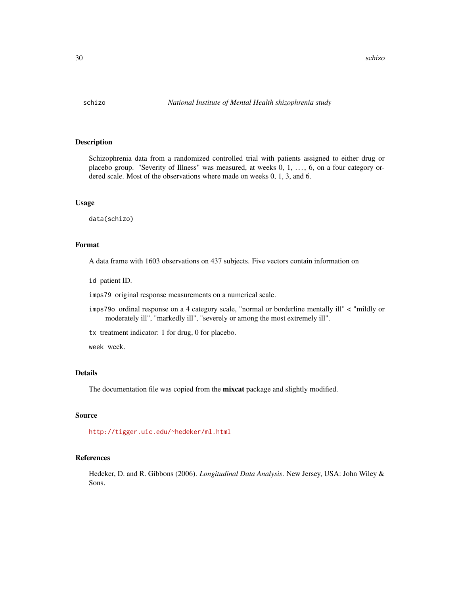<span id="page-29-0"></span>

#### Description

Schizophrenia data from a randomized controlled trial with patients assigned to either drug or placebo group. "Severity of Illness" was measured, at weeks 0, 1, . . . , 6, on a four category ordered scale. Most of the observations where made on weeks 0, 1, 3, and 6.

## Usage

data(schizo)

## Format

A data frame with 1603 observations on 437 subjects. Five vectors contain information on

id patient ID.

imps79 original response measurements on a numerical scale.

imps79o ordinal response on a 4 category scale, "normal or borderline mentally ill" < "mildly or moderately ill", "markedly ill", "severely or among the most extremely ill".

tx treatment indicator: 1 for drug, 0 for placebo.

week week.

#### Details

The documentation file was copied from the **mixcat** package and slightly modified.

## Source

<http://tigger.uic.edu/~hedeker/ml.html>

#### References

Hedeker, D. and R. Gibbons (2006). *Longitudinal Data Analysis*. New Jersey, USA: John Wiley & Sons.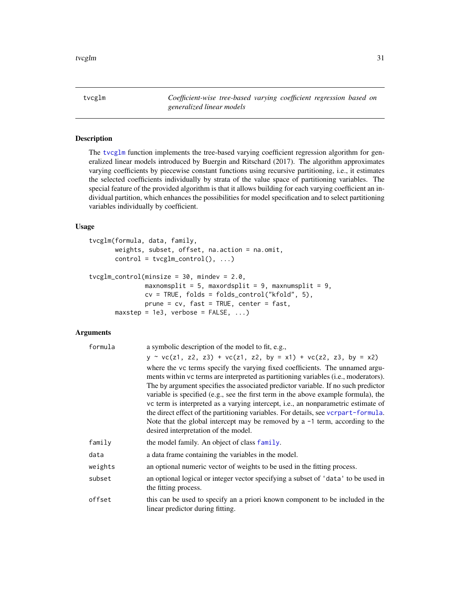<span id="page-30-1"></span><span id="page-30-0"></span>tvcglm *Coefficient-wise tree-based varying coefficient regression based on generalized linear models*

## <span id="page-30-2"></span>Description

The [tvcglm](#page-30-1) function implements the tree-based varying coefficient regression algorithm for generalized linear models introduced by Buergin and Ritschard (2017). The algorithm approximates varying coefficients by piecewise constant functions using recursive partitioning, i.e., it estimates the selected coefficients individually by strata of the value space of partitioning variables. The special feature of the provided algorithm is that it allows building for each varying coefficient an individual partition, which enhances the possibilities for model specification and to select partitioning variables individually by coefficient.

## Usage

```
tvcglm(formula, data, family,
      weights, subset, offset, na.action = na.omit,
      control = tvcglm_countrol(), ...)tvcglm_control(minsize = 30, mindev = 2.0,
              maxnomsplit = 5, maxordsplit = 9, maxnumsplit = 9,
              cv = TRUE, folds = folds_control("kfold", 5),
              prune = cv, fast = TRUE, center = fast,
      maxstep = 1e3, verbose = FALSE, ...)
```
#### Arguments

| formula | a symbolic description of the model to fit, e.g.,                                                                                                                                                                                                                                                                                                                                                                                                                                                                                                                                                                                                   |
|---------|-----------------------------------------------------------------------------------------------------------------------------------------------------------------------------------------------------------------------------------------------------------------------------------------------------------------------------------------------------------------------------------------------------------------------------------------------------------------------------------------------------------------------------------------------------------------------------------------------------------------------------------------------------|
|         | $y \sim vc(z1, z2, z3) + vc(z1, z2, by = x1) + vc(z2, z3, by = x2)$                                                                                                                                                                                                                                                                                                                                                                                                                                                                                                                                                                                 |
|         | where the vc terms specify the varying fixed coefficients. The unnamed argu-<br>ments within vc terms are interpreted as partitioning variables (i.e., moderators).<br>The by argument specifies the associated predictor variable. If no such predictor<br>variable is specified (e.g., see the first term in the above example formula), the<br>vc term is interpreted as a varying intercept, i.e., an nonparametric estimate of<br>the direct effect of the partitioning variables. For details, see vcrpart-formula.<br>Note that the global intercept may be removed by a $-1$ term, according to the<br>desired interpretation of the model. |
| family  | the model family. An object of class family.                                                                                                                                                                                                                                                                                                                                                                                                                                                                                                                                                                                                        |
| data    | a data frame containing the variables in the model.                                                                                                                                                                                                                                                                                                                                                                                                                                                                                                                                                                                                 |
| weights | an optional numeric vector of weights to be used in the fitting process.                                                                                                                                                                                                                                                                                                                                                                                                                                                                                                                                                                            |
| subset  | an optional logical or integer vector specifying a subset of 'data' to be used in<br>the fitting process.                                                                                                                                                                                                                                                                                                                                                                                                                                                                                                                                           |
| offset  | this can be used to specify an a priori known component to be included in the<br>linear predictor during fitting.                                                                                                                                                                                                                                                                                                                                                                                                                                                                                                                                   |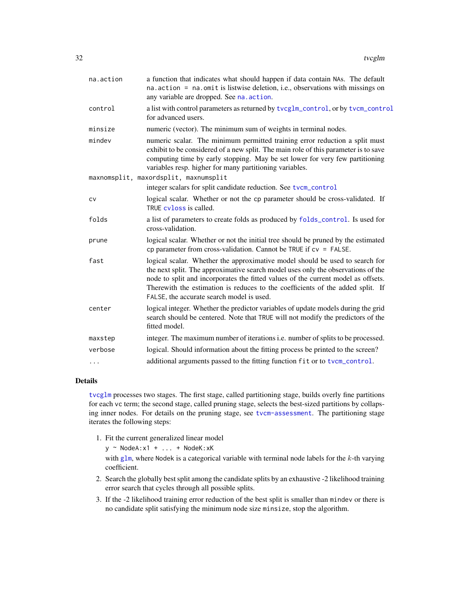<span id="page-31-0"></span>

| na.action | a function that indicates what should happen if data contain NAs. The default<br>na. action = na. omit is listwise deletion, i.e., observations with missings on<br>any variable are dropped. See na. action.                                                                                                                                                                        |
|-----------|--------------------------------------------------------------------------------------------------------------------------------------------------------------------------------------------------------------------------------------------------------------------------------------------------------------------------------------------------------------------------------------|
| control   | a list with control parameters as returned by tvcglm_control, or by tvcm_control<br>for advanced users.                                                                                                                                                                                                                                                                              |
| minsize   | numeric (vector). The minimum sum of weights in terminal nodes.                                                                                                                                                                                                                                                                                                                      |
| mindev    | numeric scalar. The minimum permitted training error reduction a split must<br>exhibit to be considered of a new split. The main role of this parameter is to save<br>computing time by early stopping. May be set lower for very few partitioning<br>variables resp. higher for many partitioning variables.                                                                        |
|           | maxnomsplit, maxordsplit, maxnumsplit                                                                                                                                                                                                                                                                                                                                                |
|           | integer scalars for split candidate reduction. See tvcm_control                                                                                                                                                                                                                                                                                                                      |
| CV        | logical scalar. Whether or not the cp parameter should be cross-validated. If<br>TRUE cyloss is called.                                                                                                                                                                                                                                                                              |
| folds     | a list of parameters to create folds as produced by folds_control. Is used for<br>cross-validation.                                                                                                                                                                                                                                                                                  |
| prune     | logical scalar. Whether or not the initial tree should be pruned by the estimated<br>cp parameter from cross-validation. Cannot be TRUE if $cv = FALSE$ .                                                                                                                                                                                                                            |
| fast      | logical scalar. Whether the approximative model should be used to search for<br>the next split. The approximative search model uses only the observations of the<br>node to split and incorporates the fitted values of the current model as offsets.<br>Therewith the estimation is reduces to the coefficients of the added split. If<br>FALSE, the accurate search model is used. |
| center    | logical integer. Whether the predictor variables of update models during the grid<br>search should be centered. Note that TRUE will not modify the predictors of the<br>fitted model.                                                                                                                                                                                                |
| maxstep   | integer. The maximum number of iterations i.e. number of splits to be processed.                                                                                                                                                                                                                                                                                                     |
| verbose   | logical. Should information about the fitting process be printed to the screen?                                                                                                                                                                                                                                                                                                      |
| $\cdots$  | additional arguments passed to the fitting function fit or to tvcm_control.                                                                                                                                                                                                                                                                                                          |

#### Details

[tvcglm](#page-30-1) processes two stages. The first stage, called partitioning stage, builds overly fine partitions for each vc term; the second stage, called pruning stage, selects the best-sized partitions by collapsing inner nodes. For details on the pruning stage, see [tvcm-assessment](#page-36-2). The partitioning stage iterates the following steps:

1. Fit the current generalized linear model

y ~ NodeA:x1 + ... + NodeK:xK

with [glm](#page-0-0), where Nodek is a categorical variable with terminal node labels for the k-th varying coefficient.

- 2. Search the globally best split among the candidate splits by an exhaustive -2 likelihood training error search that cycles through all possible splits.
- 3. If the -2 likelihood training error reduction of the best split is smaller than mindev or there is no candidate split satisfying the minimum node size minsize, stop the algorithm.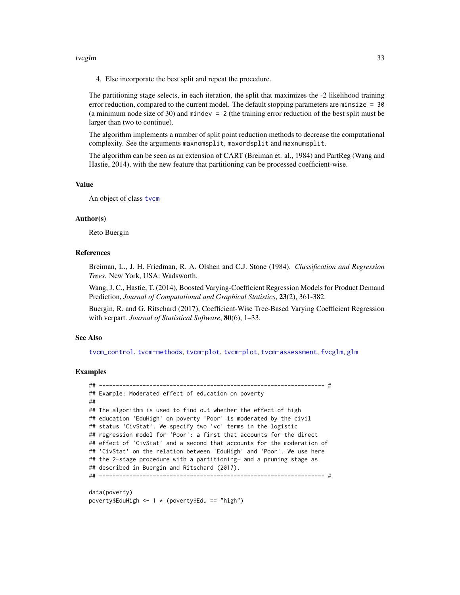#### <span id="page-32-0"></span>tvcglm 33

4. Else incorporate the best split and repeat the procedure.

The partitioning stage selects, in each iteration, the split that maximizes the -2 likelihood training error reduction, compared to the current model. The default stopping parameters are minsize  $= 30$ (a minimum node size of 30) and mindev  $= 2$  (the training error reduction of the best split must be larger than two to continue).

The algorithm implements a number of split point reduction methods to decrease the computational complexity. See the arguments maxnomsplit, maxordsplit and maxnumsplit.

The algorithm can be seen as an extension of CART (Breiman et. al., 1984) and PartReg (Wang and Hastie, 2014), with the new feature that partitioning can be processed coefficient-wise.

#### Value

An object of class [tvcm](#page-33-1)

#### Author(s)

Reto Buergin

#### References

Breiman, L., J. H. Friedman, R. A. Olshen and C.J. Stone (1984). *Classification and Regression Trees*. New York, USA: Wadsworth.

Wang, J. C., Hastie, T. (2014), Boosted Varying-Coefficient Regression Models for Product Demand Prediction, *Journal of Computational and Graphical Statistics*, 23(2), 361-382.

Buergin, R. and G. Ritschard (2017), Coefficient-Wise Tree-Based Varying Coefficient Regression with vcrpart. *Journal of Statistical Software*, 80(6), 1–33.

#### See Also

[tvcm\\_control](#page-40-1), [tvcm-methods](#page-42-2), [tvcm-plot](#page-44-2), [tvcm-plot](#page-44-2), [tvcm-assessment](#page-36-2), [fvcglm](#page-2-2), [glm](#page-0-0)

#### Examples

```
## ------------------------------------------------------------------- #
## Example: Moderated effect of education on poverty
##
## The algorithm is used to find out whether the effect of high
## education 'EduHigh' on poverty 'Poor' is moderated by the civil
## status 'CivStat'. We specify two 'vc' terms in the logistic
## regression model for 'Poor': a first that accounts for the direct
## effect of 'CivStat' and a second that accounts for the moderation of
## 'CivStat' on the relation between 'EduHigh' and 'Poor'. We use here
## the 2-stage procedure with a partitioning- and a pruning stage as
## described in Buergin and Ritschard (2017).
## ------------------------------------------------------------------- #
data(poverty)
poverty$EduHigh <- 1 * (poverty$Edu == "high")
```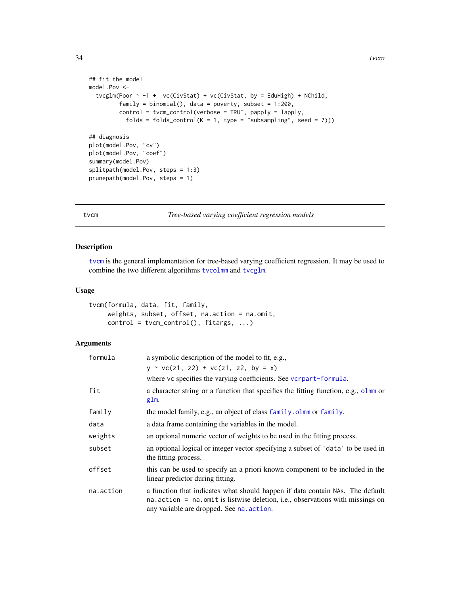```
## fit the model
model.Pov <-
  tvcglm(Poor \sim -1 + vc(CivStat) + vc(CivStat, by = EduHigh) + NChild,
         family = binomial(), data = poverty, subset = 1:200,
         control = tvcm_control(verbose = TRUE, papply = lapply,
           folds = folds_control(K = 1, type = "subsampling", seed = 7)))
## diagnosis
plot(model.Pov, "cv")
plot(model.Pov, "coef")
summary(model.Pov)
splitpath(model.Pov, steps = 1:3)
prunepath(model.Pov, steps = 1)
```
## tvcm *Tree-based varying coefficient regression models*

#### Description

[tvcm](#page-33-1) is the general implementation for tree-based varying coefficient regression. It may be used to combine the two different algorithms [tvcolmm](#page-47-1) and [tvcglm](#page-30-1).

### Usage

```
tvcm(formula, data, fit, family,
     weights, subset, offset, na.action = na.omit,
     control = tvcm\_control(), fitargs, ...)
```
## Arguments

| formula   | a symbolic description of the model to fit, e.g.,                                                                                                                                                             |
|-----------|---------------------------------------------------------------------------------------------------------------------------------------------------------------------------------------------------------------|
|           | $y \sim vc(z1, z2) + vc(z1, z2, by = x)$                                                                                                                                                                      |
|           | where vc specifies the varying coefficients. See vcrpart-formula.                                                                                                                                             |
| fit       | a character string or a function that specifies the fitting function, e.g., olmm or<br>glm.                                                                                                                   |
| family    | the model family, e.g., an object of class family. olmm or family.                                                                                                                                            |
| data      | a data frame containing the variables in the model.                                                                                                                                                           |
| weights   | an optional numeric vector of weights to be used in the fitting process.                                                                                                                                      |
| subset    | an optional logical or integer vector specifying a subset of 'data' to be used in<br>the fitting process.                                                                                                     |
| offset    | this can be used to specify an a priori known component to be included in the<br>linear predictor during fitting.                                                                                             |
| na.action | a function that indicates what should happen if data contain NAs. The default<br>na. action = na. omit is listwise deletion, i.e., observations with missings on<br>any variable are dropped. See na. action. |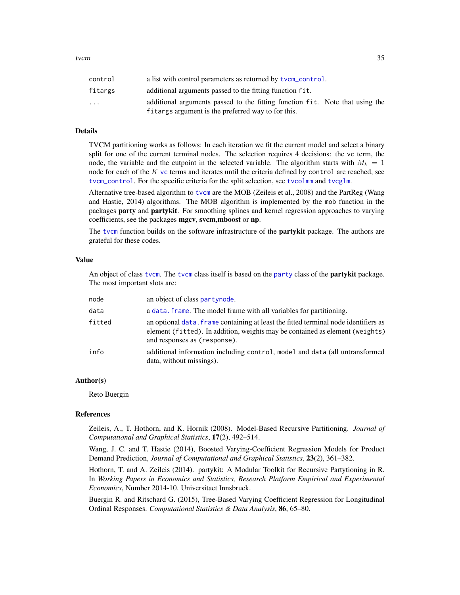<span id="page-34-0"></span>

| control                 | a list with control parameters as returned by tvcm_control.                                                                        |
|-------------------------|------------------------------------------------------------------------------------------------------------------------------------|
| fitargs                 | additional arguments passed to the fitting function fit.                                                                           |
| $\cdot$ $\cdot$ $\cdot$ | additional arguments passed to the fitting function fit. Note that using the<br>fitargs argument is the preferred way to for this. |

#### Details

TVCM partitioning works as follows: In each iteration we fit the current model and select a binary split for one of the current terminal nodes. The selection requires 4 decisions: the vc term, the node, the variable and the cutpoint in the selected variable. The algorithm starts with  $M_k = 1$ node for each of the  $K$  [vc](#page-53-1) terms and iterates until the criteria defined by control are reached, see [tvcm\\_control](#page-40-1). For the specific criteria for the split selection, see [tvcolmm](#page-47-1) and [tvcglm](#page-30-1).

Alternative tree-based algorithm to [tvcm](#page-33-1) are the MOB (Zeileis et al., 2008) and the PartReg (Wang and Hastie, 2014) algorithms. The MOB algorithm is implemented by the mob function in the packages party and partykit. For smoothing splines and kernel regression approaches to varying coefficients, see the packages mgcv, svcm,mboost or np.

The [tvcm](#page-33-1) function builds on the software infrastructure of the **partykit** package. The authors are grateful for these codes.

## Value

An object of class [tvcm](#page-33-1). The tvcm class itself is based on the [party](#page-0-0) class of the **partykit** package. The most important slots are:

| node   | an object of class partynode.                                                                                                                                                                       |
|--------|-----------------------------------------------------------------------------------------------------------------------------------------------------------------------------------------------------|
| data   | a data, frame. The model frame with all variables for partitioning.                                                                                                                                 |
| fitted | an optional data. frame containing at least the fitted terminal node identifiers as<br>element (fitted). In addition, weights may be contained as element (weights)<br>and responses as (response). |
| info   | additional information including control, model and data (all untransformed<br>data, without missings).                                                                                             |

#### Author(s)

Reto Buergin

#### References

Zeileis, A., T. Hothorn, and K. Hornik (2008). Model-Based Recursive Partitioning. *Journal of Computational and Graphical Statistics*, 17(2), 492–514.

Wang, J. C. and T. Hastie (2014), Boosted Varying-Coefficient Regression Models for Product Demand Prediction, *Journal of Computational and Graphical Statistics*, 23(2), 361–382.

Hothorn, T. and A. Zeileis (2014). partykit: A Modular Toolkit for Recursive Partytioning in R. In *Working Papers in Economics and Statistics, Research Platform Empirical and Experimental Economics*, Number 2014-10. Universitaet Innsbruck.

Buergin R. and Ritschard G. (2015), Tree-Based Varying Coefficient Regression for Longitudinal Ordinal Responses. *Computational Statistics & Data Analysis*, 86, 65–80.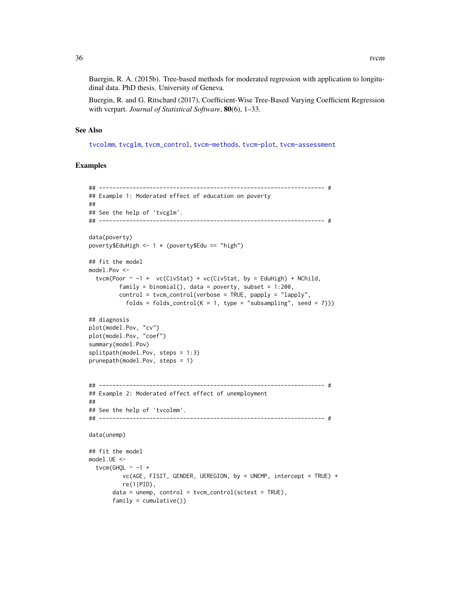Buergin, R. A. (2015b). Tree-based methods for moderated regression with application to longitudinal data. PhD thesis. University of Geneva.

Buergin, R. and G. Ritschard (2017), Coefficient-Wise Tree-Based Varying Coefficient Regression with vcrpart. *Journal of Statistical Software*, 80(6), 1–33.

#### See Also

[tvcolmm](#page-47-1), [tvcglm](#page-30-1), [tvcm\\_control](#page-40-1), [tvcm-methods](#page-42-2), [tvcm-plot](#page-44-2), [tvcm-assessment](#page-36-2)

## Examples

```
## ------------------------------------------------------------------- #
## Example 1: Moderated effect of education on poverty
##
## See the help of 'tvcglm'.
## ------------------------------------------------------------------- #
data(poverty)
poverty$EduHigh <- 1 * (poverty$Edu == "high")
## fit the model
model.Pov <-
  tvcm(Poor \sim -1 + vc(CivStat) + vc(CivStat, by = EduHigh) + NChild,
         family = binomial(), data = poverty, subset = 1:200,
         control = tvcm_control(verbose = TRUE, papply = "lapply",
           folds = folds_control(K = 1, type = "subsampling", seed = 7)))
## diagnosis
plot(model.Pov, "cv")
plot(model.Pov, "coef")
summary(model.Pov)
splitpath(model.Pov, steps = 1:3)
prunepath(model.Pov, steps = 1)
## ------------------------------------------------------------------- #
## Example 2: Moderated effect effect of unemployment
##
## See the help of 'tvcolmm'.
## ------------------------------------------------------------------- #
data(unemp)
## fit the model
model.UE <-
  tvcm(GHQL \sim -1 +
          vc(AGE, FISIT, GENDER, UEREGION, by = UNEMP, intercept = TRUE) +
          re(1|PID),
       data = unemp, control = tvcm_control(sctest = TRUE),
       family = cumulative()
```
<span id="page-35-0"></span>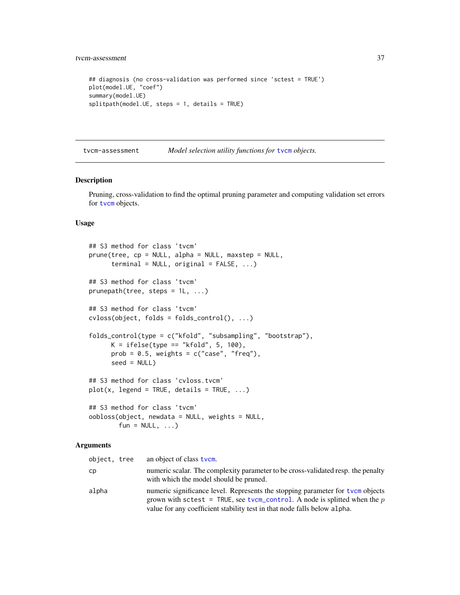```
## diagnosis (no cross-validation was performed since 'sctest = TRUE')
plot(model.UE, "coef")
summary(model.UE)
splitpath(model.UE, steps = 1, details = TRUE)
```
<span id="page-36-2"></span>tvcm-assessment *Model selection utility functions for* [tvcm](#page-33-1) *objects.*

#### <span id="page-36-1"></span>Description

Pruning, cross-validation to find the optimal pruning parameter and computing validation set errors for [tvcm](#page-33-1) objects.

#### Usage

```
## S3 method for class 'tvcm'
prune(tree, cp = NULL, alpha = NULL, maxstep = NULL,
     terminal = NULL, original = FALSE, ...)
## S3 method for class 'tvcm'
prunepath(tree, steps = 1L, ...)## S3 method for class 'tvcm'
cvloss(object, folds = folds_control(), ...)
folds_control(type = c("kfold", "subsampling", "bootstrap"),
     K = ifelse(type == "kfold", 5, 100),prob = 0.5, weights = c("case", "freq"),seed = NULL)
## S3 method for class 'cvloss.tvcm'
plot(x, legend = TRUE, details = TRUE, ...)## S3 method for class 'tvcm'
oobloss(object, newdata = NULL, weights = NULL,
       fun = NULL, ...)
```
#### **Arguments**

| object, tree | an object of class tvcm.                                                                                                                                                                                                                  |
|--------------|-------------------------------------------------------------------------------------------------------------------------------------------------------------------------------------------------------------------------------------------|
| cр           | numeric scalar. The complexity parameter to be cross-validated resp. the penalty<br>with which the model should be pruned.                                                                                                                |
| alpha        | numeric significance level. Represents the stopping parameter for tycm objects<br>grown with sctest = TRUE, see tvcm_control. A node is splitted when the $p$<br>value for any coefficient stability test in that node falls below alpha. |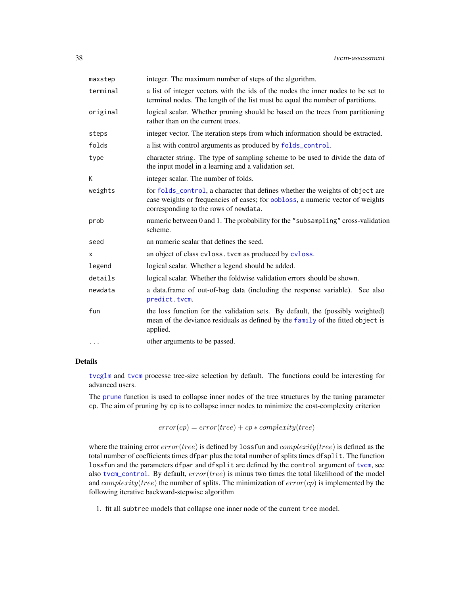<span id="page-37-0"></span>

| maxstep  | integer. The maximum number of steps of the algorithm.                                                                                                                                                   |
|----------|----------------------------------------------------------------------------------------------------------------------------------------------------------------------------------------------------------|
| terminal | a list of integer vectors with the ids of the nodes the inner nodes to be set to<br>terminal nodes. The length of the list must be equal the number of partitions.                                       |
| original | logical scalar. Whether pruning should be based on the trees from partitioning<br>rather than on the current trees.                                                                                      |
| steps    | integer vector. The iteration steps from which information should be extracted.                                                                                                                          |
| folds    | a list with control arguments as produced by folds_control.                                                                                                                                              |
| type     | character string. The type of sampling scheme to be used to divide the data of<br>the input model in a learning and a validation set.                                                                    |
| K        | integer scalar. The number of folds.                                                                                                                                                                     |
| weights  | for folds_control, a character that defines whether the weights of object are<br>case weights or frequencies of cases; for oobloss, a numeric vector of weights<br>corresponding to the rows of newdata. |
| prob     | numeric between 0 and 1. The probability for the "subsampling" cross-validation<br>scheme.                                                                                                               |
| seed     | an numeric scalar that defines the seed.                                                                                                                                                                 |
| X        | an object of class cyloss. tycm as produced by cyloss.                                                                                                                                                   |
| legend   | logical scalar. Whether a legend should be added.                                                                                                                                                        |
| details  | logical scalar. Whether the foldwise validation errors should be shown.                                                                                                                                  |
| newdata  | a data.frame of out-of-bag data (including the response variable). See also<br>predict.tvcm.                                                                                                             |
| fun      | the loss function for the validation sets. By default, the (possibly weighted)<br>mean of the deviance residuals as defined by the family of the fitted object is<br>applied.                            |
| .        | other arguments to be passed.                                                                                                                                                                            |

## Details

[tvcglm](#page-30-1) and [tvcm](#page-33-1) processe tree-size selection by default. The functions could be interesting for advanced users.

The [prune](#page-36-1) function is used to collapse inner nodes of the tree structures by the tuning parameter cp. The aim of pruning by cp is to collapse inner nodes to minimize the cost-complexity criterion

 $error(cp) = error(tree) + cp * complexity(tree)$ 

where the training error  $error(tree)$  is defined by lossfun and  $complexity(tree)$  is defined as the total number of coefficients times dfpar plus the total number of splits times dfsplit. The function lossfun and the parameters dfpar and dfsplit are defined by the control argument of [tvcm](#page-33-1), see also [tvcm\\_control](#page-40-1). By default,  $error(tree)$  is minus two times the total likelihood of the model and *complexity*(*tree*) the number of splits. The minimization of  $error(cp)$  is implemented by the following iterative backward-stepwise algorithm

1. fit all subtree models that collapse one inner node of the current tree model.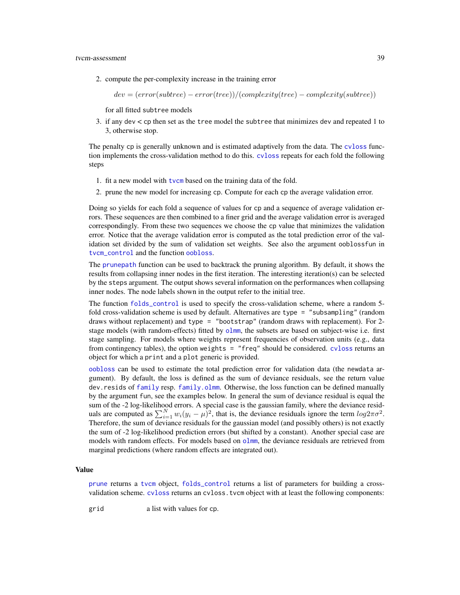<span id="page-38-0"></span>2. compute the per-complexity increase in the training error

 $dev = (error(subtree) - error(tree))/(complexity(tree) - complexity(subtree)$ 

for all fitted subtree models

3. if any dev < cp then set as the tree model the subtree that minimizes dev and repeated 1 to 3, otherwise stop.

The penalty cp is generally unknown and is estimated adaptively from the data. The [cvloss](#page-36-1) function implements the cross-validation method to do this. [cvloss](#page-36-1) repeats for each fold the following steps

- 1. fit a new model with [tvcm](#page-33-1) based on the training data of the fold.
- 2. prune the new model for increasing cp. Compute for each cp the average validation error.

Doing so yields for each fold a sequence of values for cp and a sequence of average validation errors. These sequences are then combined to a finer grid and the average validation error is averaged correspondingly. From these two sequences we choose the cp value that minimizes the validation error. Notice that the average validation error is computed as the total prediction error of the validation set divided by the sum of validation set weights. See also the argument ooblossfun in [tvcm\\_control](#page-40-1) and the function [oobloss](#page-36-1).

The [prunepath](#page-36-1) function can be used to backtrack the pruning algorithm. By default, it shows the results from collapsing inner nodes in the first iteration. The interesting iteration(s) can be selected by the steps argument. The output shows several information on the performances when collapsing inner nodes. The node labels shown in the output refer to the initial tree.

The function [folds\\_control](#page-36-1) is used to specify the cross-validation scheme, where a random 5 fold cross-validation scheme is used by default. Alternatives are type = "subsampling" (random draws without replacement) and type = "bootstrap" (random draws with replacement). For 2 stage models (with random-effects) fitted by [olmm](#page-8-2), the subsets are based on subject-wise i.e. first stage sampling. For models where weights represent frequencies of observation units (e.g., data from contingency tables), the option weights = "freq" should be considered. [cvloss](#page-36-1) returns an object for which a print and a plot generic is provided.

[oobloss](#page-36-1) can be used to estimate the total prediction error for validation data (the newdata argument). By default, the loss is defined as the sum of deviance residuals, see the return value dev.resids of [family](#page-0-0) resp. [family.olmm](#page-8-1). Otherwise, the loss function can be defined manually by the argument fun, see the examples below. In general the sum of deviance residual is equal the sum of the -2 log-likelihood errors. A special case is the gaussian family, where the deviance residuals are computed as  $\sum_{i=1}^{N} w_i (y_i - \mu)^2$ , that is, the deviance residuals ignore the term  $log 2\pi \sigma^2$ . Therefore, the sum of deviance residuals for the gaussian model (and possibly others) is not exactly the sum of -2 log-likelihood prediction errors (but shifted by a constant). Another special case are models with random effects. For models based on [olmm](#page-8-2), the deviance residuals are retrieved from marginal predictions (where random effects are integrated out).

#### Value

[prune](#page-36-1) returns a [tvcm](#page-33-1) object, [folds\\_control](#page-36-1) returns a list of parameters for building a crossvalidation scheme. [cvloss](#page-36-1) returns an cvloss.tvcm object with at least the following components:

grid a list with values for cp.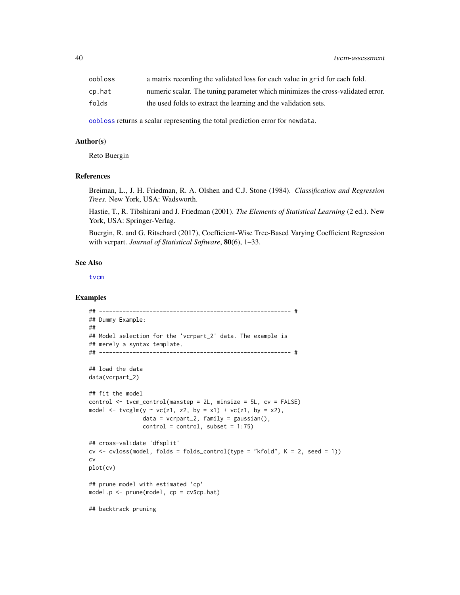<span id="page-39-0"></span>

| oobloss | a matrix recording the validated loss for each value in grid for each fold.     |
|---------|---------------------------------------------------------------------------------|
| cp.hat  | numeric scalar. The tuning parameter which minimizes the cross-validated error. |
| folds   | the used folds to extract the learning and the validation sets.                 |

[oobloss](#page-36-1) returns a scalar representing the total prediction error for newdata.

#### Author(s)

Reto Buergin

#### References

Breiman, L., J. H. Friedman, R. A. Olshen and C.J. Stone (1984). *Classification and Regression Trees*. New York, USA: Wadsworth.

Hastie, T., R. Tibshirani and J. Friedman (2001). *The Elements of Statistical Learning* (2 ed.). New York, USA: Springer-Verlag.

Buergin, R. and G. Ritschard (2017), Coefficient-Wise Tree-Based Varying Coefficient Regression with vcrpart. *Journal of Statistical Software*, 80(6), 1–33.

#### See Also

[tvcm](#page-33-1)

#### Examples

```
## --------------------------------------------------------- #
## Dummy Example:
##
## Model selection for the 'vcrpart_2' data. The example is
## merely a syntax template.
## --------------------------------------------------------- #
## load the data
data(vcrpart_2)
## fit the model
control <- tvcm_control(maxstep = 2L, minsize = 5L, cv = FALSE)
model \leq tvcglm(y \sim vc(z1, z2, by = x1) + vc(z1, by = x2),
                data = vcrpart_2, family = gaussian(),
                control = control, subset = 1:75)## cross-validate 'dfsplit'
cv \le c cvloss(model, folds = folds_control(type = "kfold", K = 2, seed = 1))
cv
plot(cv)
## prune model with estimated 'cp'
model.p <- prune(model, cp = cv$cp.hat)
## backtrack pruning
```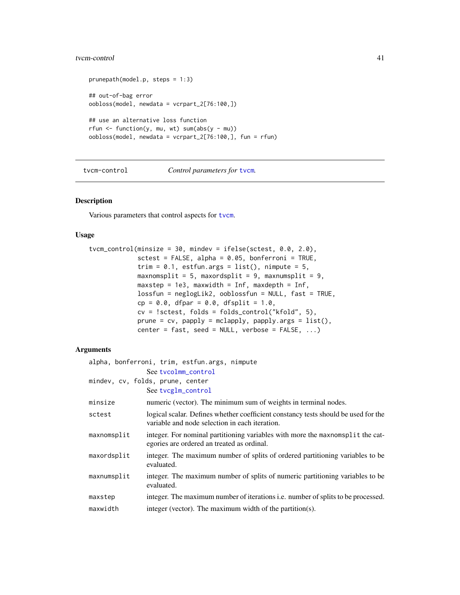## <span id="page-40-0"></span>tvcm-control 41

```
prunepath(model.p, steps = 1:3)
## out-of-bag error
oobloss(model, newdata = vcrpart_2[76:100,])
## use an alternative loss function
rfun \le function(y, mu, wt) sum(abs(y - mu))
oobloss(model, newdata = vcrpart_2[76:100,], fun = rfun)
```
#### tvcm-control *Control parameters for* [tvcm](#page-33-1)*.*

#### <span id="page-40-1"></span>Description

Various parameters that control aspects for [tvcm](#page-33-1).

## Usage

```
tvcm_control(minsize = 30, mindev = ifelse(sctest, 0.0, 2.0),
              \text{stest} = \text{FALSE}, \text{ alpha} = 0.05, \text{ bonferroni} = \text{TRUE},trim = 0.1, estfun.args = list(), nimpute = 5,
             maxnomsplit = 5, maxordsplit = 9, maxnumsplit = 9,
             maxstep = 1e3, maxwidth = Inf, maxdepth = Inf,
             lossfun = neglogLik2, ooblossfun = NULL, fast = TRUE,
              cp = 0.0, dfpar = 0.0, dfsplit = 1.0,
             cv = !sctest, folds = folds_control("kfold", 5),
              prune = cv, papply = mclapply, papply.args = list(),
             center = fast, seed = NULL, verbose = FALSE, ...)
```
## Arguments

| alpha, bonferroni, trim, estfun.args, nimpute |                                                                                                                                      |  |
|-----------------------------------------------|--------------------------------------------------------------------------------------------------------------------------------------|--|
|                                               | See tvcolmm_control                                                                                                                  |  |
|                                               | mindev, cv, folds, prune, center                                                                                                     |  |
|                                               | See tycglm_control                                                                                                                   |  |
| minsize                                       | numeric (vector). The minimum sum of weights in terminal nodes.                                                                      |  |
| sctest                                        | logical scalar. Defines whether coefficient constancy tests should be used for the<br>variable and node selection in each iteration. |  |
| maxnomsplit                                   | integer. For nominal partitioning variables with more the maxnomsplit the cat-<br>egories are ordered an treated as ordinal.         |  |
| maxordsplit                                   | integer. The maximum number of splits of ordered partitioning variables to be<br>evaluated.                                          |  |
| maxnumsplit                                   | integer. The maximum number of splits of numeric partitioning variables to be<br>evaluated.                                          |  |
| maxstep                                       | integer. The maximum number of iterations <i>i.e.</i> number of splits to be processed.                                              |  |
| maxwidth                                      | integer (vector). The maximum width of the partition(s).                                                                             |  |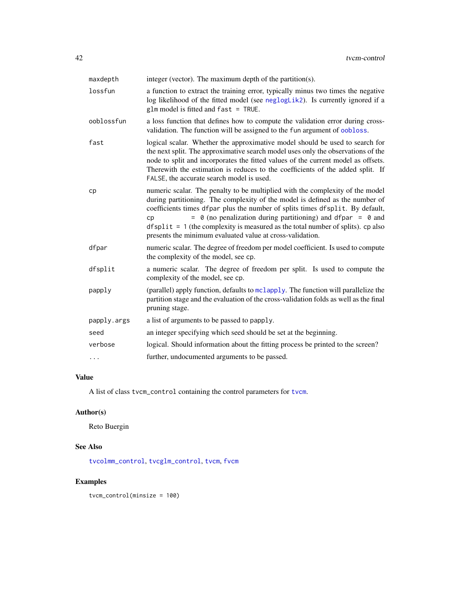<span id="page-41-0"></span>

| maxdepth    | integer (vector). The maximum depth of the partition(s).                                                                                                                                                                                                                                                                                                                                                                                                                  |
|-------------|---------------------------------------------------------------------------------------------------------------------------------------------------------------------------------------------------------------------------------------------------------------------------------------------------------------------------------------------------------------------------------------------------------------------------------------------------------------------------|
| lossfun     | a function to extract the training error, typically minus two times the negative<br>log likelihood of the fitted model (see neglogLik2). Is currently ignored if a<br>$glm$ model is fitted and $fast = TRUE$ .                                                                                                                                                                                                                                                           |
| ooblossfun  | a loss function that defines how to compute the validation error during cross-<br>validation. The function will be assigned to the fun argument of oobloss.                                                                                                                                                                                                                                                                                                               |
| fast        | logical scalar. Whether the approximative model should be used to search for<br>the next split. The approximative search model uses only the observations of the<br>node to split and incorporates the fitted values of the current model as offsets.<br>Therewith the estimation is reduces to the coefficients of the added split. If<br>FALSE, the accurate search model is used.                                                                                      |
| cp          | numeric scalar. The penalty to be multiplied with the complexity of the model<br>during partitioning. The complexity of the model is defined as the number of<br>coefficients times dfpar plus the number of splits times dfsplit. By default,<br>$= 0$ (no penalization during partitioning) and dfpar $= 0$ and<br>cp<br>$dfsplit = 1$ (the complexity is measured as the total number of splits). cp also<br>presents the minimum evaluated value at cross-validation. |
| dfpar       | numeric scalar. The degree of freedom per model coefficient. Is used to compute<br>the complexity of the model, see cp.                                                                                                                                                                                                                                                                                                                                                   |
| dfsplit     | a numeric scalar. The degree of freedom per split. Is used to compute the<br>complexity of the model, see cp.                                                                                                                                                                                                                                                                                                                                                             |
| papply      | (parallel) apply function, defaults to mclapply. The function will parallelize the<br>partition stage and the evaluation of the cross-validation folds as well as the final<br>pruning stage.                                                                                                                                                                                                                                                                             |
| papply.args | a list of arguments to be passed to papply.                                                                                                                                                                                                                                                                                                                                                                                                                               |
| seed        | an integer specifying which seed should be set at the beginning.                                                                                                                                                                                                                                                                                                                                                                                                          |
| verbose     | logical. Should information about the fitting process be printed to the screen?                                                                                                                                                                                                                                                                                                                                                                                           |
| $\cdots$    | further, undocumented arguments to be passed.                                                                                                                                                                                                                                                                                                                                                                                                                             |

## Value

A list of class tvcm\_control containing the control parameters for [tvcm](#page-33-1).

## Author(s)

Reto Buergin

## See Also

[tvcolmm\\_control](#page-47-2), [tvcglm\\_control](#page-30-2), [tvcm](#page-33-1), [fvcm](#page-2-1)

## Examples

tvcm\_control(minsize = 100)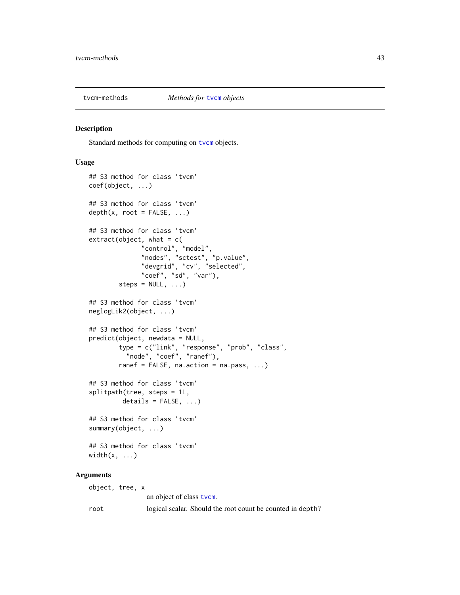<span id="page-42-2"></span><span id="page-42-0"></span>

#### <span id="page-42-1"></span>Description

Standard methods for computing on [tvcm](#page-33-1) objects.

#### Usage

```
## S3 method for class 'tvcm'
coef(object, ...)
## S3 method for class 'tvcm'
depth(x, root = FALSE, ...)## S3 method for class 'tvcm'
extract(object, what = c("control", "model",
              "nodes", "sctest", "p.value",
              "devgrid", "cv", "selected",
              "coef", "sd", "var"),
        steps = NULL, ...)## S3 method for class 'tvcm'
neglogLik2(object, ...)
## S3 method for class 'tvcm'
predict(object, newdata = NULL,
        type = c("link", "response", "prob", "class",
          "node", "coef", "ranef"),
        ranef = FALSE, na.action = na.pass, ...)
## S3 method for class 'tvcm'
splitpath(tree, steps = 1L,
         details = FALSE, ...)## S3 method for class 'tvcm'
summary(object, ...)
## S3 method for class 'tvcm'
width(x, \ldots)
```
## Arguments

object, tree, x an object of class [tvcm](#page-33-1). root logical scalar. Should the root count be counted in depth?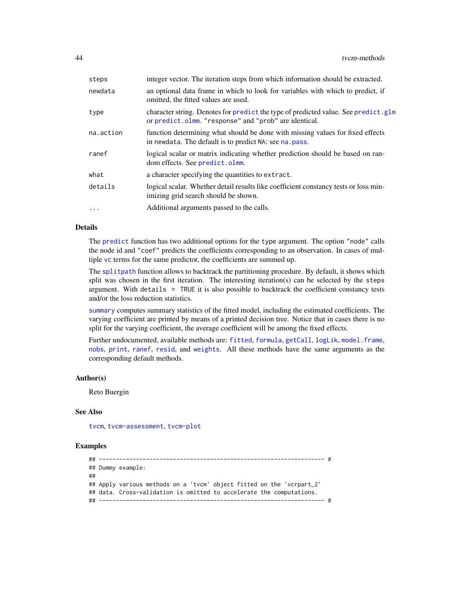<span id="page-43-0"></span>

| steps     | integer vector. The iteration steps from which information should be extracted.                                                             |
|-----------|---------------------------------------------------------------------------------------------------------------------------------------------|
| newdata   | an optional data frame in which to look for variables with which to predict, if<br>omitted, the fitted values are used.                     |
| type      | character string. Denotes for predict the type of predicted value. See predict.glm<br>or predict.olmm. "response" and "prob" are identical. |
| na.action | function determining what should be done with missing values for fixed effects<br>in newdata. The default is to predict NA: see na. pass.   |
| ranef     | logical scalar or matrix indicating whether prediction should be based on ran-<br>dom effects. See predict.olmm.                            |
| what      | a character specifying the quantities to extract.                                                                                           |
| details   | logical scalar. Whether detail results like coefficient constancy tests or loss min-<br>imizing grid search should be shown.                |
| .         | Additional arguments passed to the calls.                                                                                                   |
|           |                                                                                                                                             |

## Details

The [predict](#page-0-0) function has two additional options for the type argument. The option "node" calls the node id and "coef" predicts the coefficients corresponding to an observation. In cases of multiple [vc](#page-53-1) terms for the same predictor, the coefficients are summed up.

The [splitpath](#page-42-1) function allows to backtrack the partitioning procedure. By default, it shows which split was chosen in the first iteration. The interesting iteration(s) can be selected by the steps argument. With details = TRUE it is also possible to backtrack the coefficient constancy tests and/or the loss reduction statistics.

[summary](#page-0-0) computes summary statistics of the fitted model, including the estimated coefficients. The varying coefficient are printed by means of a printed decision tree. Notice that in cases there is no split for the varying coefficient, the average coefficient will be among the fixed effects.

Further undocumented, available methods are: [fitted](#page-0-0), [formula](#page-0-0), [getCall](#page-0-0), [logLik](#page-0-0), [model.frame](#page-0-0), [nobs](#page-0-0), [print](#page-0-0), [ranef](#page-16-1), [resid](#page-0-0), and [weights](#page-0-0). All these methods have the same arguments as the corresponding default methods.

#### Author(s)

Reto Buergin

#### See Also

[tvcm](#page-33-1), [tvcm-assessment](#page-36-2), [tvcm-plot](#page-44-2)

#### Examples

```
## ------------------------------------------------------------------- #
## Dummy example:
##
## Apply various methods on a 'tvcm' object fitted on the 'vcrpart_2'
## data. Cross-validation is omitted to accelerate the computations.
## ------------------------------------------------------------------- #
```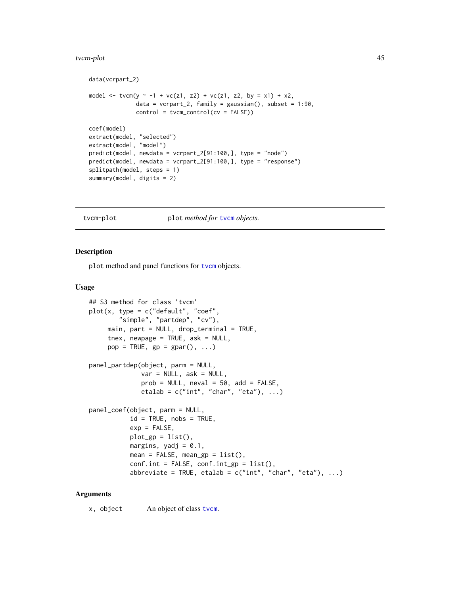#### <span id="page-44-0"></span>tvcm-plot 45

```
data(vcrpart_2)
model <- tvcm(y ~ -1 + vc(z1, z2) + vc(z1, z2, by = x1) + x2,
              data = vcrpart_2, family = gaussian(), subset = 1:90,
              control = tvcm\_control(cv = FALSE)coef(model)
extract(model, "selected")
extract(model, "model")
predict(model, newdata = vcrpart_2[91:100,], type = "node")
predict(model, newdata = vcrpart_2[91:100,], type = "response")
splitpath(model, steps = 1)
summary(model, digits = 2)
```
<span id="page-44-2"></span>tvcm-plot plot *method for* [tvcm](#page-33-1) *objects.*

#### <span id="page-44-1"></span>Description

plot method and panel functions for [tvcm](#page-33-1) objects.

#### Usage

```
## S3 method for class 'tvcm'
plot(x, type = c("default", "coeff","simple", "partdep", "cv"),
     main, part = NULL, drop_terminal = TRUE,
     tnex, newpage = TRUE, ask = NULL,
     pop = TRUE, gp = gapar(), ...)panel_partdep(object, parm = NULL,
              var = NULL, ask = NULL,prob = NULL, neval = 50, add = FALSE,
              etalab = c("int", "char", "eta"), ...panel_coef(object, parm = NULL,
           id = TRUE, nobs = TRUE,
           exp = FALSE,
           plot\_gp = list(),
           margins, yadj = 0.1,
           mean = FALSE, mean_sp = list(),conf.int = FALSE, conf.int\_gp = list(),
           abbreviate = TRUE, etalab = c("int", "char", "eta"), ...)
```
#### **Arguments**

x, object An object of class [tvcm](#page-33-1).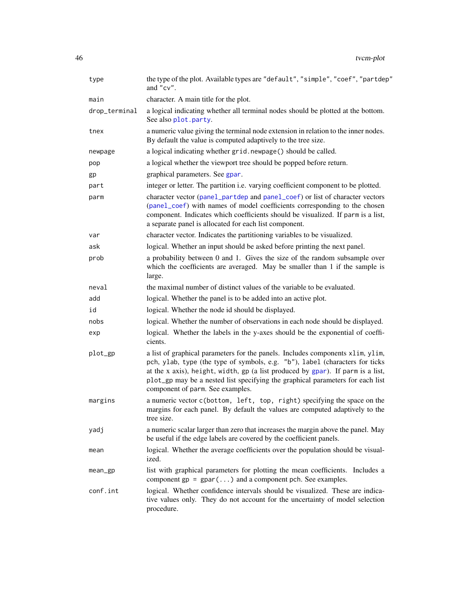<span id="page-45-0"></span>

| type          | the type of the plot. Available types are "default", "simple", "coef", "partdep"<br>and "cv".                                                                                                                                                                                                                                                                           |
|---------------|-------------------------------------------------------------------------------------------------------------------------------------------------------------------------------------------------------------------------------------------------------------------------------------------------------------------------------------------------------------------------|
| main          | character. A main title for the plot.                                                                                                                                                                                                                                                                                                                                   |
| drop_terminal | a logical indicating whether all terminal nodes should be plotted at the bottom.<br>See also plot.party.                                                                                                                                                                                                                                                                |
| tnex          | a numeric value giving the terminal node extension in relation to the inner nodes.<br>By default the value is computed adaptively to the tree size.                                                                                                                                                                                                                     |
| newpage       | a logical indicating whether grid.newpage() should be called.                                                                                                                                                                                                                                                                                                           |
| pop           | a logical whether the viewport tree should be popped before return.                                                                                                                                                                                                                                                                                                     |
| gp            | graphical parameters. See gpar.                                                                                                                                                                                                                                                                                                                                         |
| part          | integer or letter. The partition i.e. varying coefficient component to be plotted.                                                                                                                                                                                                                                                                                      |
| parm          | character vector (panel_partdep and panel_coef) or list of character vectors<br>(panel_coef) with names of model coefficients corresponding to the chosen<br>component. Indicates which coefficients should be visualized. If parm is a list,<br>a separate panel is allocated for each list component.                                                                 |
| var           | character vector. Indicates the partitioning variables to be visualized.                                                                                                                                                                                                                                                                                                |
| ask           | logical. Whether an input should be asked before printing the next panel.                                                                                                                                                                                                                                                                                               |
| prob          | a probability between 0 and 1. Gives the size of the random subsample over<br>which the coefficients are averaged. May be smaller than 1 if the sample is<br>large.                                                                                                                                                                                                     |
| neval         | the maximal number of distinct values of the variable to be evaluated.                                                                                                                                                                                                                                                                                                  |
| add           | logical. Whether the panel is to be added into an active plot.                                                                                                                                                                                                                                                                                                          |
| id            | logical. Whether the node id should be displayed.                                                                                                                                                                                                                                                                                                                       |
| nobs          | logical. Whether the number of observations in each node should be displayed.                                                                                                                                                                                                                                                                                           |
| exp           | logical. Whether the labels in the y-axes should be the exponential of coeffi-<br>cients.                                                                                                                                                                                                                                                                               |
| plot_gp       | a list of graphical parameters for the panels. Includes components xlim, ylim,<br>pch, ylab, type (the type of symbols, e.g. "b"), label (characters for ticks<br>at the x axis), height, width, gp (a list produced by gpar). If parm is a list,<br>plot_gp may be a nested list specifying the graphical parameters for each list<br>component of parm. See examples. |
| margins       | a numeric vector c(bottom, left, top, right) specifying the space on the<br>margins for each panel. By default the values are computed adaptively to the<br>tree size.                                                                                                                                                                                                  |
| yadj          | a numeric scalar larger than zero that increases the margin above the panel. May<br>be useful if the edge labels are covered by the coefficient panels.                                                                                                                                                                                                                 |
| mean          | logical. Whether the average coefficients over the population should be visual-<br>ized.                                                                                                                                                                                                                                                                                |
| mean_gp       | list with graphical parameters for plotting the mean coefficients. Includes a<br>component $gp = gpar()$ and a component pch. See examples.                                                                                                                                                                                                                             |
| conf.int      | logical. Whether confidence intervals should be visualized. These are indica-<br>tive values only. They do not account for the uncertainty of model selection<br>procedure.                                                                                                                                                                                             |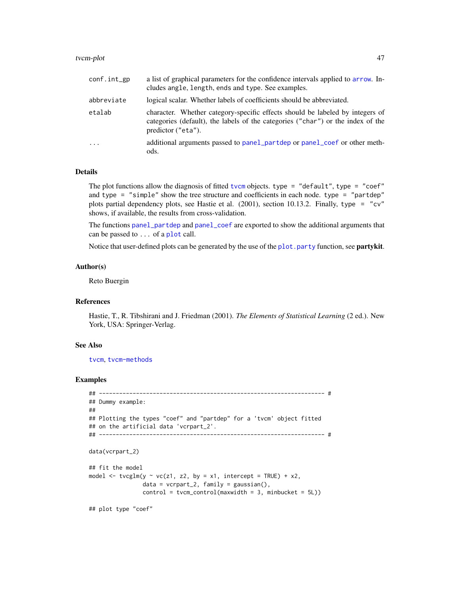#### <span id="page-46-0"></span>tvcm-plot 47

| $conf.int\_gp$          | a list of graphical parameters for the confidence intervals applied to arrow. In-<br>cludes angle, length, ends and type. See examples.                                                |
|-------------------------|----------------------------------------------------------------------------------------------------------------------------------------------------------------------------------------|
| abbreviate              | logical scalar. Whether labels of coefficients should be abbreviated.                                                                                                                  |
| etalab                  | character. Whether category-specific effects should be labeled by integers of<br>categories (default), the labels of the categories ("char") or the index of the<br>predictor ("eta"). |
| $\cdot$ $\cdot$ $\cdot$ | additional arguments passed to panel_partdep or panel_coef or other meth-<br>ods.                                                                                                      |

#### Details

The plot functions allow the diagnosis of fitted [tvcm](#page-33-1) objects. type = "default", type = "coef" and type =  $"simple"$  show the tree structure and coefficients in each node. type =  $"partdep"$ plots partial dependency plots, see Hastie et al. (2001), section 10.13.2. Finally, type = "cv" shows, if available, the results from cross-validation.

The functions [panel\\_partdep](#page-44-1) and [panel\\_coef](#page-44-1) are exported to show the additional arguments that can be passed to ... of a [plot](#page-0-0) call.

Notice that user-defined plots can be generated by the use of the [plot.party](#page-0-0) function, see **partykit**.

#### Author(s)

Reto Buergin

## References

Hastie, T., R. Tibshirani and J. Friedman (2001). *The Elements of Statistical Learning* (2 ed.). New York, USA: Springer-Verlag.

#### See Also

[tvcm](#page-33-1), [tvcm-methods](#page-42-2)

#### Examples

```
## ------------------------------------------------------------------- #
## Dummy example:
##
## Plotting the types "coef" and "partdep" for a 'tvcm' object fitted
## on the artificial data 'vcrpart_2'.
## ------------------------------------------------------------------- #
data(vcrpart_2)
## fit the model
model \leq tvcglm(y \sim vc(z1, z2, by = x1, intercept = TRUE) + x2,
                data = vcrpart_2, family = gaussian(),
                control = tvcm\_control(maxwidth = 3, minbucket = 5L)
```
## plot type "coef"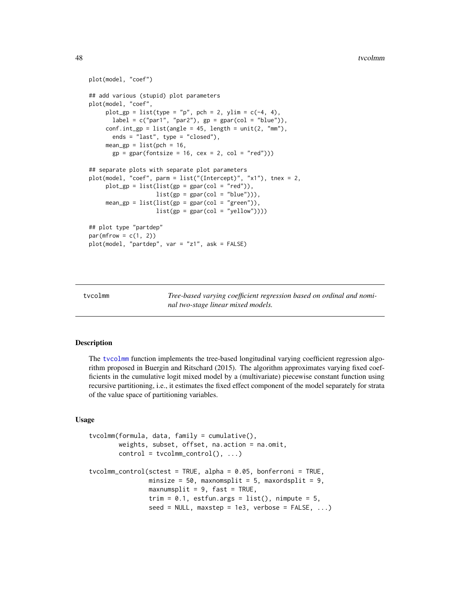```
plot(model, "coef")
## add various (stupid) plot parameters
plot(model, "coef",
     plot\_gp = list(type = "p", pch = 2, ylim = c(-4, 4),label = c("par1", "par2"), gp = gpar(col = "blue")),
     conf.int\_gp = list(angle = 45, length = unit(2, "mm"),ends = "last", type = "closed"),
     mean\_gp = list(pch = 16,gp = gpar(fontsize = 16, cex = 2, col = "red"))## separate plots with separate plot parameters
plot(model, "coef", parm = list("(Intercept)", "x1"), tnex = 2,
     plot_gp = list(list(gp = gpar(col = "red")),
                   list(sp = gpar(col = "blue")),
     mean\_gp = list(list(gp = gpar(col = "green")),
                    list(gp = gpar(col = "yellow"))))## plot type "partdep"
par(mfrow = c(1, 2))plot(model, "partdep", var = "z1", ask = FALSE)
```
<span id="page-47-1"></span>tvcolmm *Tree-based varying coefficient regression based on ordinal and nominal two-stage linear mixed models.*

#### <span id="page-47-2"></span>Description

The [tvcolmm](#page-47-1) function implements the tree-based longitudinal varying coefficient regression algorithm proposed in Buergin and Ritschard (2015). The algorithm approximates varying fixed coefficients in the cumulative logit mixed model by a (multivariate) piecewise constant function using recursive partitioning, i.e., it estimates the fixed effect component of the model separately for strata of the value space of partitioning variables.

#### Usage

```
tvcolmm(formula, data, family = cumulative(),
       weights, subset, offset, na.action = na.omit,
       control = tvoclmm\_control(), ...)tvcolmm_control(sctest = TRUE, alpha = 0.05, bonferroni = TRUE,
                minsize = 50, maxnomsplit = 5, maxordsplit = 9,
               maxnumsplit = 9, fast = TRUE,
                trim = 0.1, estfun.args = list(), nimpute = 5,
                seed = NULL, maxstep = 1e3, verbose = FALSE, ...)
```
<span id="page-47-0"></span>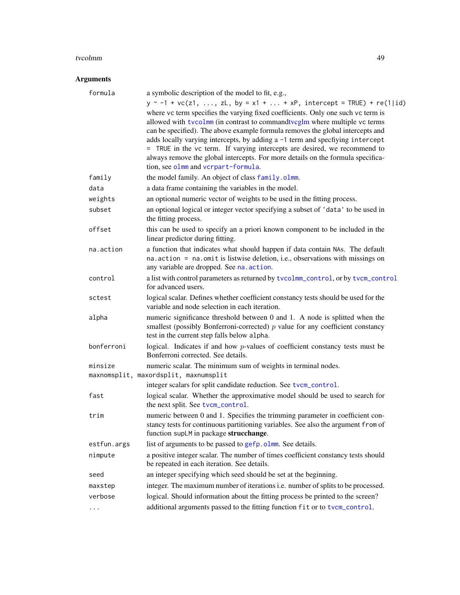#### <span id="page-48-0"></span>tvcolmm 49

## Arguments

| formula     | a symbolic description of the model to fit, e.g.,                                                                                                                  |
|-------------|--------------------------------------------------------------------------------------------------------------------------------------------------------------------|
|             | $y \sim -1 + \text{vc}(z1, , zL, by = x1 +  + xP,$ intercept = TRUE) + re(1 id)                                                                                    |
|             | where vc term specifies the varying fixed coefficients. Only one such vc term is                                                                                   |
|             | allowed with tycolmm (in contrast to commandtycglm where multiple yc terms                                                                                         |
|             | can be specified). The above example formula removes the global intercepts and                                                                                     |
|             | adds locally varying intercepts, by adding a -1 term and specfiying intercept                                                                                      |
|             | = TRUE in the vc term. If varying intercepts are desired, we recommend to                                                                                          |
|             | always remove the global intercepts. For more details on the formula specifica-                                                                                    |
|             | tion, see olmm and vcrpart-formula.                                                                                                                                |
| family      | the model family. An object of class family.olmm.                                                                                                                  |
| data        | a data frame containing the variables in the model.                                                                                                                |
| weights     | an optional numeric vector of weights to be used in the fitting process.                                                                                           |
| subset      | an optional logical or integer vector specifying a subset of 'data' to be used in<br>the fitting process.                                                          |
| offset      | this can be used to specify an a priori known component to be included in the<br>linear predictor during fitting.                                                  |
| na.action   | a function that indicates what should happen if data contain NAs. The default                                                                                      |
|             | na. action = na. omit is listwise deletion, i.e., observations with missings on                                                                                    |
|             | any variable are dropped. See na. action.                                                                                                                          |
| control     | a list with control parameters as returned by tvcolmm_control, or by tvcm_control                                                                                  |
|             | for advanced users.                                                                                                                                                |
| sctest      | logical scalar. Defines whether coefficient constancy tests should be used for the                                                                                 |
|             | variable and node selection in each iteration.                                                                                                                     |
| alpha       | numeric significance threshold between 0 and 1. A node is splitted when the                                                                                        |
|             | smallest (possibly Bonferroni-corrected) $p$ value for any coefficient constancy                                                                                   |
|             | test in the current step falls below alpha.                                                                                                                        |
| bonferroni  | logical. Indicates if and how $p$ -values of coefficient constancy tests must be<br>Bonferroni corrected. See details.                                             |
| minsize     | numeric scalar. The minimum sum of weights in terminal nodes.                                                                                                      |
|             | maxnomsplit, maxordsplit, maxnumsplit                                                                                                                              |
|             | integer scalars for split candidate reduction. See tvcm_control.                                                                                                   |
| fast        | logical scalar. Whether the approximative model should be used to search for                                                                                       |
|             | the next split. See tvcm_control.                                                                                                                                  |
| trim        | numeric between 0 and 1. Specifies the trimming parameter in coefficient con-<br>stancy tests for continuous partitioning variables. See also the argument from of |
|             | function supLM in package strucchange.                                                                                                                             |
| estfun.args | list of arguments to be passed to gefp.olmm. See details.                                                                                                          |
| nimpute     | a positive integer scalar. The number of times coefficient constancy tests should                                                                                  |
|             | be repeated in each iteration. See details.                                                                                                                        |
| seed        | an integer specifying which seed should be set at the beginning.                                                                                                   |
| maxstep     | integer. The maximum number of iterations i.e. number of splits to be processed.                                                                                   |
| verbose     | logical. Should information about the fitting process be printed to the screen?                                                                                    |
| .           | additional arguments passed to the fitting function fit or to tvcm_control.                                                                                        |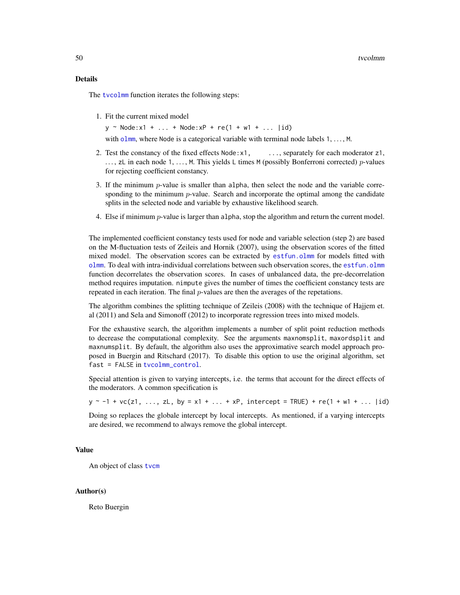<span id="page-49-0"></span>The [tvcolmm](#page-47-1) function iterates the following steps:

1. Fit the current mixed model

 $y \sim \text{Node}: x1 + ... + \text{Node}: xP + re(1 + w1 + ... |id)$ 

with [olmm](#page-8-2), where Node is a categorical variable with terminal node labels 1, ..., M.

- 2. Test the constancy of the fixed effects  $Node:x1, \ldots$ , separately for each moderator  $z1$ ,  $\ldots$ , zL in each node 1,  $\ldots$ , M. This yields L times M (possibly Bonferroni corrected) p-values for rejecting coefficient constancy.
- 3. If the minimum  $p$ -value is smaller than alpha, then select the node and the variable corresponding to the minimum  $p$ -value. Search and incorporate the optimal among the candidate splits in the selected node and variable by exhaustive likelihood search.
- 4. Else if minimum p-value is larger than alpha, stop the algorithm and return the current model.

The implemented coefficient constancy tests used for node and variable selection (step 2) are based on the M-fluctuation tests of Zeileis and Hornik (2007), using the observation scores of the fitted mixed model. The observation scores can be extracted by [estfun.olmm](#page-13-1) for models fitted with [olmm](#page-8-2). To deal with intra-individual correlations between such observation scores, the [estfun.olmm](#page-13-1) function decorrelates the observation scores. In cases of unbalanced data, the pre-decorrelation method requires imputation. nimpute gives the number of times the coefficient constancy tests are repeated in each iteration. The final  $p$ -values are then the averages of the repetations.

The algorithm combines the splitting technique of Zeileis (2008) with the technique of Hajjem et. al (2011) and Sela and Simonoff (2012) to incorporate regression trees into mixed models.

For the exhaustive search, the algorithm implements a number of split point reduction methods to decrease the computational complexity. See the arguments maxnomsplit, maxordsplit and maxnumsplit. By default, the algorithm also uses the approximative search model approach proposed in Buergin and Ritschard (2017). To disable this option to use the original algorithm, set fast = FALSE in [tvcolmm\\_control](#page-47-2).

Special attention is given to varying intercepts, i.e. the terms that account for the direct effects of the moderators. A common specification is

 $y \sim -1 + \text{vc}(z1, ..., zL, by = x1 + ... + xP,$  intercept = TRUE) + re(1 + w1 + ... |id)

Doing so replaces the globale intercept by local intercepts. As mentioned, if a varying intercepts are desired, we recommend to always remove the global intercept.

#### Value

An object of class [tvcm](#page-33-1)

#### Author(s)

Reto Buergin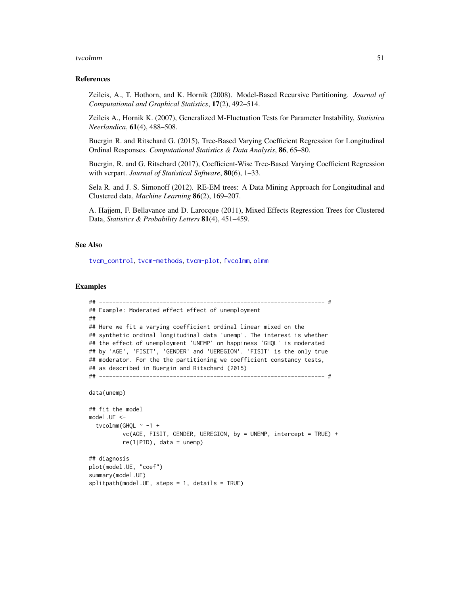#### <span id="page-50-0"></span>tvcolmm 51

#### References

Zeileis, A., T. Hothorn, and K. Hornik (2008). Model-Based Recursive Partitioning. *Journal of Computational and Graphical Statistics*, 17(2), 492–514.

Zeileis A., Hornik K. (2007), Generalized M-Fluctuation Tests for Parameter Instability, *Statistica Neerlandica*, 61(4), 488–508.

Buergin R. and Ritschard G. (2015), Tree-Based Varying Coefficient Regression for Longitudinal Ordinal Responses. *Computational Statistics & Data Analysis*, 86, 65–80.

Buergin, R. and G. Ritschard (2017), Coefficient-Wise Tree-Based Varying Coefficient Regression with vcrpart. *Journal of Statistical Software*, 80(6), 1–33.

Sela R. and J. S. Simonoff (2012). RE-EM trees: A Data Mining Approach for Longitudinal and Clustered data, *Machine Learning* 86(2), 169–207.

A. Hajjem, F. Bellavance and D. Larocque (2011), Mixed Effects Regression Trees for Clustered Data, *Statistics & Probability Letters* 81(4), 451–459.

## See Also

[tvcm\\_control](#page-40-1), [tvcm-methods](#page-42-2), [tvcm-plot](#page-44-2), [fvcolmm](#page-2-2), [olmm](#page-8-2)

#### Examples

```
## ------------------------------------------------------------------- #
## Example: Moderated effect effect of unemployment
##
## Here we fit a varying coefficient ordinal linear mixed on the
## synthetic ordinal longitudinal data 'unemp'. The interest is whether
## the effect of unemployment 'UNEMP' on happiness 'GHQL' is moderated
## by 'AGE', 'FISIT', 'GENDER' and 'UEREGION'. 'FISIT' is the only true
## moderator. For the the partitioning we coefficient constancy tests,
## as described in Buergin and Ritschard (2015)
## ------------------------------------------------------------------- #
data(unemp)
## fit the model
model.UE <-
 tvcolmm(GHQL \sim -1 +
          vc(AGE, FISIT, GENDER, UEREGION, by = UNEMP, intercept = TRUE) +
          re(1|PID), data = unemp)
## diagnosis
plot(model.UE, "coef")
summary(model.UE)
splitpath(model.UE, steps = 1, details = TRUE)
```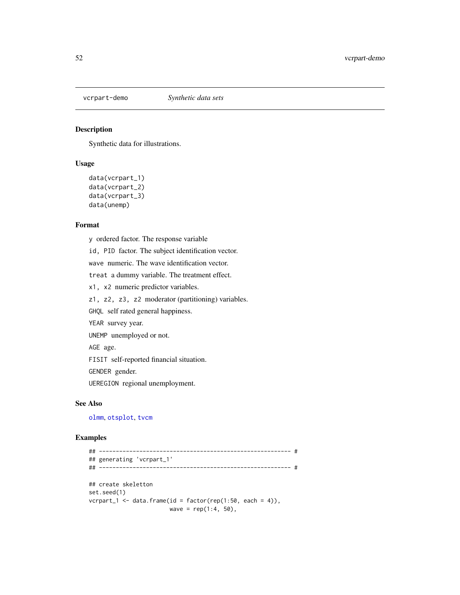<span id="page-51-0"></span>

## Description

Synthetic data for illustrations.

#### Usage

```
data(vcrpart_1)
data(vcrpart_2)
data(vcrpart_3)
data(unemp)
```
#### Format

y ordered factor. The response variable

id, PID factor. The subject identification vector.

wave numeric. The wave identification vector.

treat a dummy variable. The treatment effect.

x1, x2 numeric predictor variables.

z1, z2, z3, z2 moderator (partitioning) variables.

GHQL self rated general happiness.

YEAR survey year.

UNEMP unemployed or not.

AGE age.

FISIT self-reported financial situation.

GENDER gender.

UEREGION regional unemployment.

## See Also

[olmm](#page-8-2), [otsplot](#page-23-2), [tvcm](#page-33-1)

#### Examples

```
## --------------------------------------------------------- #
## generating 'vcrpart_1'
## --------------------------------------------------------- #
## create skeletton
set.seed(1)
vcrpart_1 <- data.frame(id = factor(rep(1:50, each = 4)),
                       wave = rep(1:4, 50),
```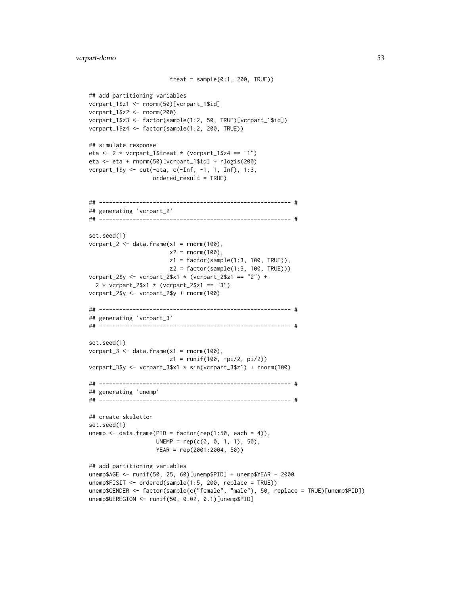```
treat = sample(0:1, 200, TRUE)## add partitioning variables
vcrpart_1$z1 <- rnorm(50)[vcrpart_1$id]
vcrpart_1$z2 <- rnorm(200)
vcrpart_1$z3 <- factor(sample(1:2, 50, TRUE)[vcrpart_1$id])
vcrpart_1$z4 <- factor(sample(1:2, 200, TRUE))
## simulate response
eta <- 2 * vcrpart_1$treat * (vcrpart_1$z4 == "1")
eta <- eta + rnorm(50)[vcrpart_1$id] + rlogis(200)
vcrpart_1$y <- cut(-eta, c(-Inf, -1, 1, Inf), 1:3,
                   ordered_result = TRUE)
## --------------------------------------------------------- #
## generating 'vcrpart_2'
## --------------------------------------------------------- #
set.seed(1)
vcrpart_2 \leftarrow data.frame(x1 = rnorm(100),x2 = rnorm(100),
                        z1 = factor(sample(1:3, 100, TRUE)),
                        z2 = factor(sample(1:3, 100, TRUE)))
vcrpart_2$y <- vcrpart_2$x1 * (vcrpart_2$z1 == "2") +
  2 * vcrpart_2$x1 * (vcrpart_2$z1 == "3")
vcrpart_2$y <- vcrpart_2$y + rnorm(100)
## --------------------------------------------------------- #
## generating 'vcrpart_3'
## --------------------------------------------------------- #
set.seed(1)
vcrpart_3 \leftarrow data.frame(x1 = rnorm(100),z1 = runif(100, -pi/2, pi/2))
vcrpart_3$y <- vcrpart_3$x1 * sin(vcrpart_3$z1) + rnorm(100)
## --------------------------------------------------------- #
## generating 'unemp'
## --------------------------------------------------------- #
## create skeletton
set.seed(1)
unemp \leq data.frame(PID = factor(rep(1:50, each = 4)),
                    UNEMP = rep(c(0, 0, 1, 1), 50),YEAR = rep(2001:2004, 50))
## add partitioning variables
unemp$AGE <- runif(50, 25, 60)[unemp$PID] + unemp$YEAR - 2000
unemp$FISIT <- ordered(sample(1:5, 200, replace = TRUE))
unemp$GENDER <- factor(sample(c("female", "male"), 50, replace = TRUE)[unemp$PID])
```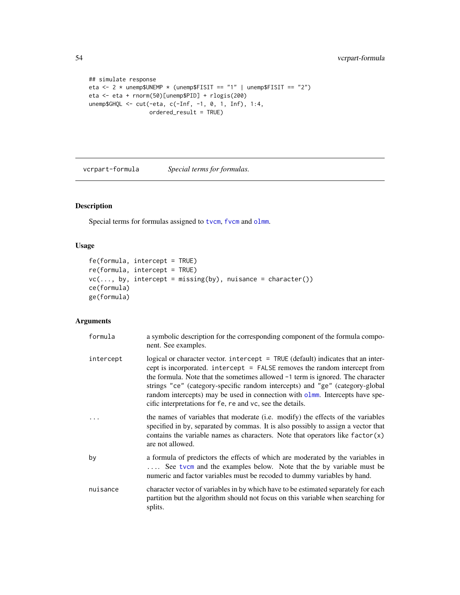```
## simulate response
eta <- 2 * unemp$UNEMP * (unemp$FISIT == "1" | unemp$FISIT == "2")
eta <- eta + rnorm(50)[unemp$PID] + rlogis(200)
unemp$GHQL <- cut(-eta, c(-Inf, -1, 0, 1, Inf), 1:4,
                 ordered_result = TRUE)
```
<span id="page-53-2"></span>vcrpart-formula *Special terms for formulas.*

## <span id="page-53-1"></span>Description

Special terms for formulas assigned to [tvcm](#page-33-1), [fvcm](#page-2-1) and [olmm](#page-8-2).

## Usage

```
fe(formula, intercept = TRUE)
re(formula, intercept = TRUE)
vc(..., by, intercept = missing(by), nuisance = character())ce(formula)
ge(formula)
```
## Arguments

| formula   | a symbolic description for the corresponding component of the formula compo-<br>nent. See examples.                                                                                                                                                                                                                                                                                                                                                                            |
|-----------|--------------------------------------------------------------------------------------------------------------------------------------------------------------------------------------------------------------------------------------------------------------------------------------------------------------------------------------------------------------------------------------------------------------------------------------------------------------------------------|
| intercept | logical or character vector. intercept = TRUE (default) indicates that an inter-<br>cept is incorporated. intercept = FALSE removes the random intercept from<br>the formula. Note that the sometimes allowed $-1$ term is ignored. The character<br>strings "ce" (category-specific random intercepts) and "ge" (category-global<br>random intercepts) may be used in connection with olmm. Intercepts have spe-<br>cific interpretations for fe, re and vc, see the details. |
|           | the names of variables that moderate ( <i>i.e.</i> modify) the effects of the variables<br>specified in by, separated by commas. It is also possibly to assign a vector that<br>contains the variable names as characters. Note that operators like $factor(x)$<br>are not allowed.                                                                                                                                                                                            |
| by        | a formula of predictors the effects of which are moderated by the variables in<br>See tvcm and the examples below. Note that the by variable must be<br>numeric and factor variables must be recoded to dummy variables by hand.                                                                                                                                                                                                                                               |
| nuisance  | character vector of variables in by which have to be estimated separately for each<br>partition but the algorithm should not focus on this variable when searching for<br>splits.                                                                                                                                                                                                                                                                                              |

<span id="page-53-0"></span>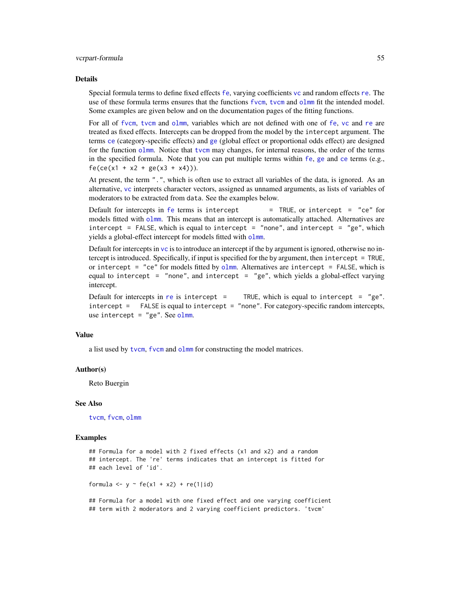#### <span id="page-54-0"></span>Details

Special formula terms to define fixed effects [fe](#page-53-1), varying coefficients [vc](#page-53-1) and random effects [re](#page-53-1). The use of these formula terms ensures that the functions [fvcm](#page-2-1), [tvcm](#page-33-1) and [olmm](#page-8-2) fit the intended model. Some examples are given below and on the documentation pages of the fitting functions.

For all of [fvcm](#page-2-1), [tvcm](#page-33-1) and [olmm](#page-8-2), variables which are not defined with one of [fe](#page-53-1), [vc](#page-53-1) and [re](#page-53-1) are treated as fixed effects. Intercepts can be dropped from the model by the intercept argument. The terms [ce](#page-53-1) (category-specific effects) and [ge](#page-53-1) (global effect or proportional odds effect) are designed for the function [olmm](#page-8-2). Notice that [tvcm](#page-33-1) may changes, for internal reasons, the order of the terms in the specified formula. Note that you can put multiple terms within [fe](#page-53-1), [ge](#page-53-1) and [ce](#page-53-1) terms (e.g.,  $fe(ce(x1 + x2 + ge(x3 + x4))).$ 

At present, the term ".", which is often use to extract all variables of the data, is ignored. As an alternative, [vc](#page-53-1) interprets character vectors, assigned as unnamed arguments, as lists of variables of moderators to be extracted from data. See the examples below.

Default for intercepts in [fe](#page-53-1) terms is intercept  $=$  TRUE, or intercept  $=$  "ce" for models fitted with [olmm](#page-8-2). This means that an intercept is automatically attached. Alternatives are intercept = FALSE, which is equal to intercept = "none", and intercept = "ge", which yields a global-effect intercept for models fitted with [olmm](#page-8-2).

Default for intercepts in [vc](#page-53-1) is to introduce an intercept if the by argument is ignored, otherwise no intercept is introduced. Specifically, if input is specified for the by argument, then intercept = TRUE, or intercept = "ce" for models fitted by [olmm](#page-8-2). Alternatives are intercept = FALSE, which is equal to intercept = "none", and intercept = "ge", which yields a global-effect varying intercept.

Default for intercepts in [re](#page-53-1) is intercept = TRUE, which is equal to intercept =  $"ge"$ . intercept = FALSE is equal to intercept = "none". For category-specific random intercepts, use intercept =  $"ge".$  See [olmm](#page-8-2).

#### Value

a list used by [tvcm](#page-33-1), [fvcm](#page-2-1) and [olmm](#page-8-2) for constructing the model matrices.

#### Author(s)

Reto Buergin

#### See Also

[tvcm](#page-33-1), [fvcm](#page-2-1), [olmm](#page-8-2)

#### Examples

```
## Formula for a model with 2 fixed effects (x1 and x2) and a random
## intercept. The 're' terms indicates that an intercept is fitted for
## each level of 'id'.
```
formula  $\leq$  y  $\sim$  fe(x1 + x2) + re(1|id)

## Formula for a model with one fixed effect and one varying coefficient ## term with 2 moderators and 2 varying coefficient predictors. 'tvcm'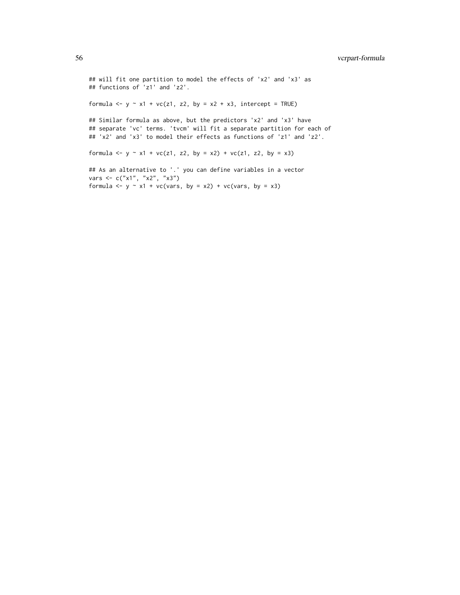## will fit one partition to model the effects of 'x2' and 'x3' as ## functions of 'z1' and 'z2'.

formula  $\leq y \leq x1 + vc(z1, z2, by = x2 + x3, intercept = TRUE)$ 

## Similar formula as above, but the predictors 'x2' and 'x3' have ## separate 'vc' terms. 'tvcm' will fit a separate partition for each of ## 'x2' and 'x3' to model their effects as functions of 'z1' and 'z2'.

formula <- y ~ x1 + vc(z1, z2, by = x2) + vc(z1, z2, by = x3)

## As an alternative to '.' you can define variables in a vector vars <- c("x1", "x2", "x3") formula  $\leq$  y  $\sim$  x1 + vc(vars, by = x2) + vc(vars, by = x3)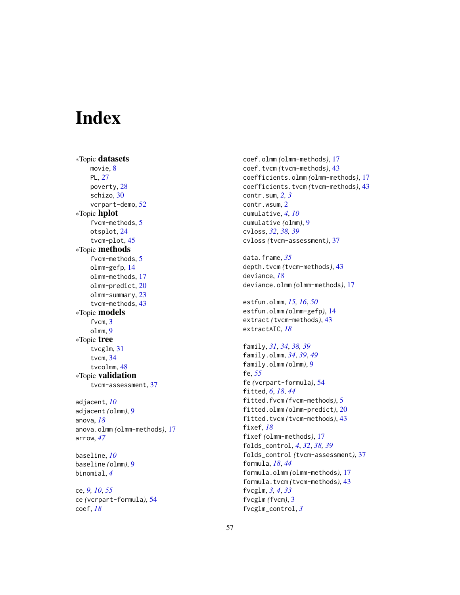# <span id="page-56-0"></span>Index

∗Topic datasets movie, [8](#page-7-0) PL, [27](#page-26-0) poverty, [28](#page-27-0) schizo, [30](#page-29-0) vcrpart-demo, [52](#page-51-0) ∗Topic hplot fvcm-methods, [5](#page-4-0) otsplot, [24](#page-23-0) tvcm-plot, [45](#page-44-0) ∗Topic methods fvcm-methods, [5](#page-4-0) olmm-gefp, [14](#page-13-0) olmm-methods, [17](#page-16-0) olmm-predict, [20](#page-19-0) olmm-summary, [23](#page-22-0) tvcm-methods, [43](#page-42-0) ∗Topic models fvcm, [3](#page-2-0) olmm, [9](#page-8-0) ∗Topic tree tvcglm, [31](#page-30-0) tvcm, [34](#page-33-0) tvcolmm, [48](#page-47-0) ∗Topic validation tvcm-assessment, [37](#page-36-0) adjacent, *[10](#page-9-0)* adjacent *(*olmm*)*, [9](#page-8-0) anova, *[18](#page-17-0)* anova.olmm *(*olmm-methods*)*, [17](#page-16-0) arrow, *[47](#page-46-0)* baseline, *[10](#page-9-0)* baseline *(*olmm*)*, [9](#page-8-0) binomial, *[4](#page-3-0)*

ce, *[9,](#page-8-0) [10](#page-9-0)*, *[55](#page-54-0)* ce *(*vcrpart-formula*)*, [54](#page-53-0) coef, *[18](#page-17-0)*

coef.olmm *(*olmm-methods*)*, [17](#page-16-0) coef.tvcm *(*tvcm-methods*)*, [43](#page-42-0) coefficients.olmm *(*olmm-methods*)*, [17](#page-16-0) coefficients.tvcm *(*tvcm-methods*)*, [43](#page-42-0) contr.sum, *[2,](#page-1-0) [3](#page-2-0)* contr.wsum, [2](#page-1-0) cumulative, *[4](#page-3-0)*, *[10](#page-9-0)* cumulative *(*olmm*)*, [9](#page-8-0) cvloss, *[32](#page-31-0)*, *[38,](#page-37-0) [39](#page-38-0)* cvloss *(*tvcm-assessment*)*, [37](#page-36-0)

data.frame, *[35](#page-34-0)* depth.tvcm *(*tvcm-methods*)*, [43](#page-42-0) deviance, *[18](#page-17-0)* deviance.olmm *(*olmm-methods*)*, [17](#page-16-0)

estfun.olmm, *[15,](#page-14-0) [16](#page-15-0)*, *[50](#page-49-0)* estfun.olmm *(*olmm-gefp*)*, [14](#page-13-0) extract *(*tvcm-methods*)*, [43](#page-42-0) extractAIC, *[18](#page-17-0)*

family, *[31](#page-30-0)*, *[34](#page-33-0)*, *[38,](#page-37-0) [39](#page-38-0)* family.olmm, *[34](#page-33-0)*, *[39](#page-38-0)*, *[49](#page-48-0)* family.olmm *(*olmm*)*, [9](#page-8-0) fe, *[55](#page-54-0)* fe *(*vcrpart-formula*)*, [54](#page-53-0) fitted, *[6](#page-5-0)*, *[18](#page-17-0)*, *[44](#page-43-0)* fitted.fvcm *(*fvcm-methods*)*, [5](#page-4-0) fitted.olmm *(*olmm-predict*)*, [20](#page-19-0) fitted.tvcm *(*tvcm-methods*)*, [43](#page-42-0) fixef, *[18](#page-17-0)* fixef *(*olmm-methods*)*, [17](#page-16-0) folds\_control, *[4](#page-3-0)*, *[32](#page-31-0)*, *[38,](#page-37-0) [39](#page-38-0)* folds\_control *(*tvcm-assessment*)*, [37](#page-36-0) formula, *[18](#page-17-0)*, *[44](#page-43-0)* formula.olmm *(*olmm-methods*)*, [17](#page-16-0) formula.tvcm *(*tvcm-methods*)*, [43](#page-42-0) fvcglm, *[3,](#page-2-0) [4](#page-3-0)*, *[33](#page-32-0)* fvcglm *(*fvcm*)*, [3](#page-2-0) fvcglm\_control, *[3](#page-2-0)*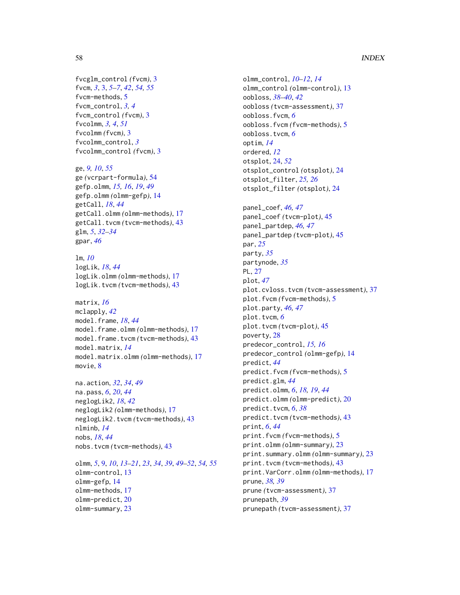## 58 INDEX

fvcglm\_control *(*fvcm*)*, [3](#page-2-0) fvcm, *[3](#page-2-0)*, [3,](#page-2-0) *[5](#page-4-0)[–7](#page-6-0)*, *[42](#page-41-0)*, *[54,](#page-53-0) [55](#page-54-0)* fvcm-methods, [5](#page-4-0) fvcm\_control, *[3,](#page-2-0) [4](#page-3-0)* fvcm\_control *(*fvcm*)*, [3](#page-2-0) fvcolmm, *[3,](#page-2-0) [4](#page-3-0)*, *[51](#page-50-0)* fvcolmm *(*fvcm*)*, [3](#page-2-0) fvcolmm\_control, *[3](#page-2-0)* fvcolmm\_control *(*fvcm*)*, [3](#page-2-0)

ge, *[9,](#page-8-0) [10](#page-9-0)*, *[55](#page-54-0)* ge *(*vcrpart-formula*)*, [54](#page-53-0) gefp.olmm, *[15,](#page-14-0) [16](#page-15-0)*, *[19](#page-18-0)*, *[49](#page-48-0)* gefp.olmm *(*olmm-gefp*)*, [14](#page-13-0) getCall, *[18](#page-17-0)*, *[44](#page-43-0)* getCall.olmm *(*olmm-methods*)*, [17](#page-16-0) getCall.tvcm *(*tvcm-methods*)*, [43](#page-42-0) glm, *[5](#page-4-0)*, *[32](#page-31-0)[–34](#page-33-0)* gpar, *[46](#page-45-0)*

lm, *[10](#page-9-0)* logLik, *[18](#page-17-0)*, *[44](#page-43-0)* logLik.olmm *(*olmm-methods*)*, [17](#page-16-0) logLik.tvcm *(*tvcm-methods*)*, [43](#page-42-0)

```
matrix, 16
mclapply, 42
model.frame, 18, 44
model.frame.olmm (olmm-methods), 17
model.frame.tvcm (tvcm-methods), 43
model.matrix, 14
model.matrix.olmm (olmm-methods), 17
movie, 8
```
na.action, *[32](#page-31-0)*, *[34](#page-33-0)*, *[49](#page-48-0)* na.pass, *[6](#page-5-0)*, *[20](#page-19-0)*, *[44](#page-43-0)* neglogLik2, *[18](#page-17-0)*, *[42](#page-41-0)* neglogLik2 *(*olmm-methods*)*, [17](#page-16-0) neglogLik2.tvcm *(*tvcm-methods*)*, [43](#page-42-0) nlminb, *[14](#page-13-0)* nobs, *[18](#page-17-0)*, *[44](#page-43-0)* nobs.tvcm *(*tvcm-methods*)*, [43](#page-42-0)

olmm, *[5](#page-4-0)*, [9,](#page-8-0) *[10](#page-9-0)*, *[13–](#page-12-0)[21](#page-20-0)*, *[23](#page-22-0)*, *[34](#page-33-0)*, *[39](#page-38-0)*, *[49](#page-48-0)[–52](#page-51-0)*, *[54,](#page-53-0) [55](#page-54-0)* olmm-control, [13](#page-12-0) olmm-gefp, [14](#page-13-0) olmm-methods, [17](#page-16-0) olmm-predict, [20](#page-19-0) olmm-summary, [23](#page-22-0)

olmm\_control, *[10](#page-9-0)[–12](#page-11-0)*, *[14](#page-13-0)* olmm\_control *(*olmm-control*)*, [13](#page-12-0) oobloss, *[38](#page-37-0)[–40](#page-39-0)*, *[42](#page-41-0)* oobloss *(*tvcm-assessment*)*, [37](#page-36-0) oobloss.fvcm, *[6](#page-5-0)* oobloss.fvcm *(*fvcm-methods*)*, [5](#page-4-0) oobloss.tvcm, *[6](#page-5-0)* optim, *[14](#page-13-0)* ordered, *[12](#page-11-0)* otsplot, [24,](#page-23-0) *[52](#page-51-0)* otsplot\_control *(*otsplot*)*, [24](#page-23-0) otsplot\_filter, *[25,](#page-24-0) [26](#page-25-0)* otsplot\_filter *(*otsplot*)*, [24](#page-23-0) panel\_coef, *[46,](#page-45-0) [47](#page-46-0)* panel\_coef *(*tvcm-plot*)*, [45](#page-44-0) panel\_partdep, *[46,](#page-45-0) [47](#page-46-0)* panel\_partdep *(*tvcm-plot*)*, [45](#page-44-0) par, *[25](#page-24-0)* party, *[35](#page-34-0)* partynode, *[35](#page-34-0)* PL, [27](#page-26-0) plot, *[47](#page-46-0)* plot.cvloss.tvcm *(*tvcm-assessment*)*, [37](#page-36-0) plot.fvcm *(*fvcm-methods*)*, [5](#page-4-0) plot.party, *[46,](#page-45-0) [47](#page-46-0)* plot.tvcm, *[6](#page-5-0)* plot.tvcm *(*tvcm-plot*)*, [45](#page-44-0) poverty, [28](#page-27-0) predecor\_control, *[15,](#page-14-0) [16](#page-15-0)* predecor\_control *(*olmm-gefp*)*, [14](#page-13-0) predict, *[44](#page-43-0)* predict.fvcm *(*fvcm-methods*)*, [5](#page-4-0) predict.glm, *[44](#page-43-0)* predict.olmm, *[6](#page-5-0)*, *[18,](#page-17-0) [19](#page-18-0)*, *[44](#page-43-0)* predict.olmm *(*olmm-predict*)*, [20](#page-19-0) predict.tvcm, *[6](#page-5-0)*, *[38](#page-37-0)* predict.tvcm *(*tvcm-methods*)*, [43](#page-42-0) print, *[6](#page-5-0)*, *[44](#page-43-0)* print.fvcm *(*fvcm-methods*)*, [5](#page-4-0) print.olmm *(*olmm-summary*)*, [23](#page-22-0) print.summary.olmm *(*olmm-summary*)*, [23](#page-22-0) print.tvcm *(*tvcm-methods*)*, [43](#page-42-0) print.VarCorr.olmm *(*olmm-methods*)*, [17](#page-16-0) prune, *[38,](#page-37-0) [39](#page-38-0)* prune *(*tvcm-assessment*)*, [37](#page-36-0) prunepath, *[39](#page-38-0)* prunepath *(*tvcm-assessment*)*, [37](#page-36-0)